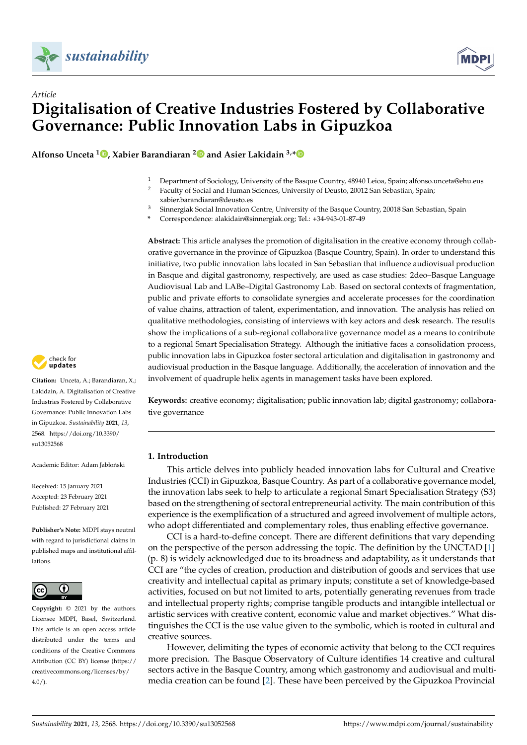



**Alfonso Unceta <sup>1</sup> [,](https://orcid.org/0000-0003-2886-6204) Xabier Barandiaran [2](https://orcid.org/0000-0002-7557-9331) and Asier Lakidain 3,[\\*](https://orcid.org/0000-0002-9193-3425)**

- <sup>1</sup> Department of Sociology, University of the Basque Country, 48940 Leioa, Spain; alfonso.unceta@ehu.eus<br><sup>2</sup> Eaculty of Social and Human Sciences University of Deusto. 20012 San Sebastian. Spain:
- <sup>2</sup> Faculty of Social and Human Sciences, University of Deusto, 20012 San Sebastian, Spain;
- xabier.barandiaran@deusto.es
- <sup>3</sup> Sinnergiak Social Innovation Centre, University of the Basque Country, 20018 San Sebastian, Spain
- **\*** Correspondence: alakidain@sinnergiak.org; Tel.: +34-943-01-87-49

**Abstract:** This article analyses the promotion of digitalisation in the creative economy through collaborative governance in the province of Gipuzkoa (Basque Country, Spain). In order to understand this initiative, two public innovation labs located in San Sebastian that influence audiovisual production in Basque and digital gastronomy, respectively, are used as case studies: 2deo–Basque Language Audiovisual Lab and LABe–Digital Gastronomy Lab. Based on sectoral contexts of fragmentation, public and private efforts to consolidate synergies and accelerate processes for the coordination of value chains, attraction of talent, experimentation, and innovation. The analysis has relied on qualitative methodologies, consisting of interviews with key actors and desk research. The results show the implications of a sub-regional collaborative governance model as a means to contribute to a regional Smart Specialisation Strategy. Although the initiative faces a consolidation process, public innovation labs in Gipuzkoa foster sectoral articulation and digitalisation in gastronomy and audiovisual production in the Basque language. Additionally, the acceleration of innovation and the involvement of quadruple helix agents in management tasks have been explored.

**Keywords:** creative economy; digitalisation; public innovation lab; digital gastronomy; collaborative governance

# **1. Introduction**

This article delves into publicly headed innovation labs for Cultural and Creative Industries (CCI) in Gipuzkoa, Basque Country. As part of a collaborative governance model, the innovation labs seek to help to articulate a regional Smart Specialisation Strategy (S3) based on the strengthening of sectoral entrepreneurial activity. The main contribution of this experience is the exemplification of a structured and agreed involvement of multiple actors, who adopt differentiated and complementary roles, thus enabling effective governance.

CCI is a hard-to-define concept. There are different definitions that vary depending on the perspective of the person addressing the topic. The definition by the UNCTAD [\[1\]](#page-16-0) (p. 8) is widely acknowledged due to its broadness and adaptability, as it understands that CCI are "the cycles of creation, production and distribution of goods and services that use creativity and intellectual capital as primary inputs; constitute a set of knowledge-based activities, focused on but not limited to arts, potentially generating revenues from trade and intellectual property rights; comprise tangible products and intangible intellectual or artistic services with creative content, economic value and market objectives." What distinguishes the CCI is the use value given to the symbolic, which is rooted in cultural and creative sources.

However, delimiting the types of economic activity that belong to the CCI requires more precision. The Basque Observatory of Culture identifies 14 creative and cultural sectors active in the Basque Country, among which gastronomy and audiovisual and multimedia creation can be found [\[2\]](#page-16-1). These have been perceived by the Gipuzkoa Provincial



**Citation:** Unceta, A.; Barandiaran, X.; Lakidain, A. Digitalisation of Creative Industries Fostered by Collaborative Governance: Public Innovation Labs in Gipuzkoa. *Sustainability* **2021**, *13*, 2568. [https://doi.org/10.3390/](https://doi.org/10.3390/su13052568) [su13052568](https://doi.org/10.3390/su13052568)

Academic Editor: Adam Jabłoński

Received: 15 January 2021 Accepted: 23 February 2021 Published: 27 February 2021

**Publisher's Note:** MDPI stays neutral with regard to jurisdictional claims in published maps and institutional affiliations.



**Copyright:** © 2021 by the authors. Licensee MDPI, Basel, Switzerland. This article is an open access article distributed under the terms and conditions of the Creative Commons Attribution (CC BY) license (https:/[/](https://creativecommons.org/licenses/by/4.0/) [creativecommons.org/licenses/by/](https://creativecommons.org/licenses/by/4.0/)  $4.0/$ ).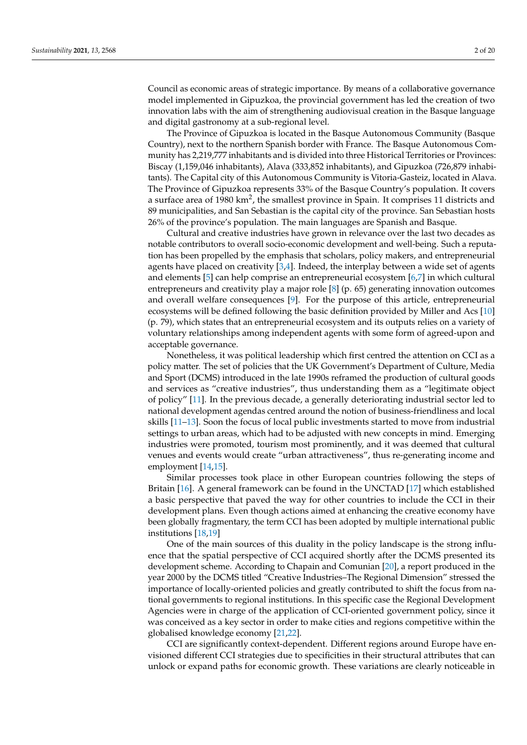Council as economic areas of strategic importance. By means of a collaborative governance model implemented in Gipuzkoa, the provincial government has led the creation of two innovation labs with the aim of strengthening audiovisual creation in the Basque language and digital gastronomy at a sub-regional level.

The Province of Gipuzkoa is located in the Basque Autonomous Community (Basque Country), next to the northern Spanish border with France. The Basque Autonomous Community has 2,219,777 inhabitants and is divided into three Historical Territories or Provinces: Biscay (1,159,046 inhabitants), Alava (333,852 inhabitants), and Gipuzkoa (726,879 inhabitants). The Capital city of this Autonomous Community is Vitoria-Gasteiz, located in Alava. The Province of Gipuzkoa represents 33% of the Basque Country's population. It covers a surface area of 1980 km<sup>2</sup>, the smallest province in Spain. It comprises 11 districts and 89 municipalities, and San Sebastian is the capital city of the province. San Sebastian hosts 26% of the province's population. The main languages are Spanish and Basque.

Cultural and creative industries have grown in relevance over the last two decades as notable contributors to overall socio-economic development and well-being. Such a reputation has been propelled by the emphasis that scholars, policy makers, and entrepreneurial agents have placed on creativity  $[3,4]$  $[3,4]$ . Indeed, the interplay between a wide set of agents and elements [\[5\]](#page-16-4) can help comprise an entrepreneurial ecosystem [\[6](#page-16-5)[,7\]](#page-16-6) in which cultural entrepreneurs and creativity play a major role [\[8\]](#page-16-7) (p. 65) generating innovation outcomes and overall welfare consequences [\[9\]](#page-16-8). For the purpose of this article, entrepreneurial ecosystems will be defined following the basic definition provided by Miller and Acs [\[10\]](#page-16-9) (p. 79), which states that an entrepreneurial ecosystem and its outputs relies on a variety of voluntary relationships among independent agents with some form of agreed-upon and acceptable governance.

Nonetheless, it was political leadership which first centred the attention on CCI as a policy matter. The set of policies that the UK Government's Department of Culture, Media and Sport (DCMS) introduced in the late 1990s reframed the production of cultural goods and services as "creative industries", thus understanding them as a "legitimate object of policy" [\[11\]](#page-16-10). In the previous decade, a generally deteriorating industrial sector led to national development agendas centred around the notion of business-friendliness and local skills [\[11](#page-16-10)[–13\]](#page-16-11). Soon the focus of local public investments started to move from industrial settings to urban areas, which had to be adjusted with new concepts in mind. Emerging industries were promoted, tourism most prominently, and it was deemed that cultural venues and events would create "urban attractiveness", thus re-generating income and employment [\[14,](#page-16-12)[15\]](#page-16-13).

Similar processes took place in other European countries following the steps of Britain [\[16\]](#page-16-14). A general framework can be found in the UNCTAD [\[17\]](#page-16-15) which established a basic perspective that paved the way for other countries to include the CCI in their development plans. Even though actions aimed at enhancing the creative economy have been globally fragmentary, the term CCI has been adopted by multiple international public institutions [\[18](#page-16-16)[,19\]](#page-16-17)

One of the main sources of this duality in the policy landscape is the strong influence that the spatial perspective of CCI acquired shortly after the DCMS presented its development scheme. According to Chapain and Comunian [\[20\]](#page-16-18), a report produced in the year 2000 by the DCMS titled "Creative Industries–The Regional Dimension" stressed the importance of locally-oriented policies and greatly contributed to shift the focus from national governments to regional institutions. In this specific case the Regional Development Agencies were in charge of the application of CCI-oriented government policy, since it was conceived as a key sector in order to make cities and regions competitive within the globalised knowledge economy [\[21,](#page-16-19)[22\]](#page-16-20).

CCI are significantly context-dependent. Different regions around Europe have envisioned different CCI strategies due to specificities in their structural attributes that can unlock or expand paths for economic growth. These variations are clearly noticeable in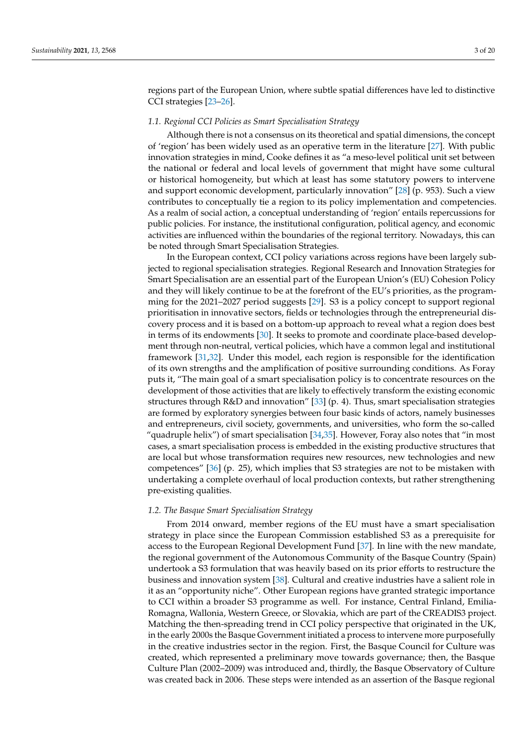regions part of the European Union, where subtle spatial differences have led to distinctive CCI strategies [\[23–](#page-16-21)[26\]](#page-16-22).

# *1.1. Regional CCI Policies as Smart Specialisation Strategy*

Although there is not a consensus on its theoretical and spatial dimensions, the concept of 'region' has been widely used as an operative term in the literature [\[27\]](#page-16-23). With public innovation strategies in mind, Cooke defines it as "a meso-level political unit set between the national or federal and local levels of government that might have some cultural or historical homogeneity, but which at least has some statutory powers to intervene and support economic development, particularly innovation" [\[28\]](#page-16-24) (p. 953). Such a view contributes to conceptually tie a region to its policy implementation and competencies. As a realm of social action, a conceptual understanding of 'region' entails repercussions for public policies. For instance, the institutional configuration, political agency, and economic activities are influenced within the boundaries of the regional territory. Nowadays, this can be noted through Smart Specialisation Strategies.

In the European context, CCI policy variations across regions have been largely subjected to regional specialisation strategies. Regional Research and Innovation Strategies for Smart Specialisation are an essential part of the European Union's (EU) Cohesion Policy and they will likely continue to be at the forefront of the EU's priorities, as the programming for the 2021–2027 period suggests [\[29\]](#page-16-25). S3 is a policy concept to support regional prioritisation in innovative sectors, fields or technologies through the entrepreneurial discovery process and it is based on a bottom-up approach to reveal what a region does best in terms of its endowments [\[30\]](#page-16-26). It seeks to promote and coordinate place-based development through non-neutral, vertical policies, which have a common legal and institutional framework [\[31,](#page-17-0)[32\]](#page-17-1). Under this model, each region is responsible for the identification of its own strengths and the amplification of positive surrounding conditions. As Foray puts it, "The main goal of a smart specialisation policy is to concentrate resources on the development of those activities that are likely to effectively transform the existing economic structures through R&D and innovation" [\[33\]](#page-17-2) (p. 4). Thus, smart specialisation strategies are formed by exploratory synergies between four basic kinds of actors, namely businesses and entrepreneurs, civil society, governments, and universities, who form the so-called "quadruple helix") of smart specialisation [\[34](#page-17-3)[,35\]](#page-17-4). However, Foray also notes that "in most cases, a smart specialisation process is embedded in the existing productive structures that are local but whose transformation requires new resources, new technologies and new competences" [\[36\]](#page-17-5) (p. 25), which implies that S3 strategies are not to be mistaken with undertaking a complete overhaul of local production contexts, but rather strengthening pre-existing qualities.

#### *1.2. The Basque Smart Specialisation Strategy*

From 2014 onward, member regions of the EU must have a smart specialisation strategy in place since the European Commission established S3 as a prerequisite for access to the European Regional Development Fund [\[37\]](#page-17-6). In line with the new mandate, the regional government of the Autonomous Community of the Basque Country (Spain) undertook a S3 formulation that was heavily based on its prior efforts to restructure the business and innovation system [\[38\]](#page-17-7). Cultural and creative industries have a salient role in it as an "opportunity niche". Other European regions have granted strategic importance to CCI within a broader S3 programme as well. For instance, Central Finland, Emilia-Romagna, Wallonia, Western Greece, or Slovakia, which are part of the CREADIS3 project. Matching the then-spreading trend in CCI policy perspective that originated in the UK, in the early 2000s the Basque Government initiated a process to intervene more purposefully in the creative industries sector in the region. First, the Basque Council for Culture was created, which represented a preliminary move towards governance; then, the Basque Culture Plan (2002–2009) was introduced and, thirdly, the Basque Observatory of Culture was created back in 2006. These steps were intended as an assertion of the Basque regional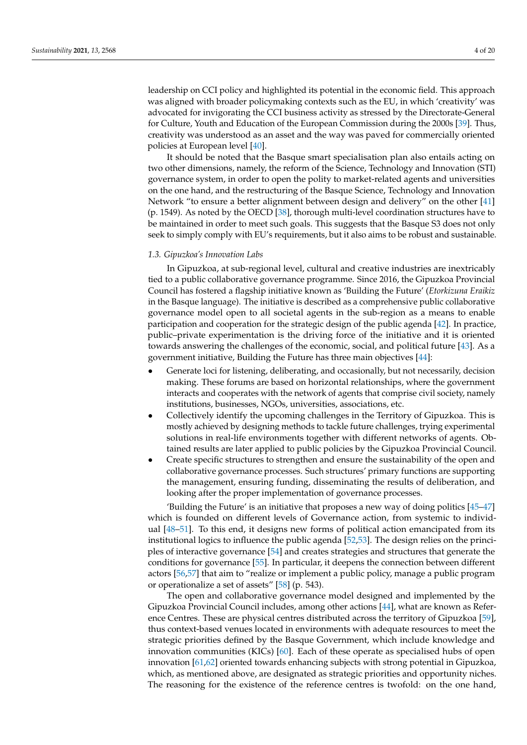leadership on CCI policy and highlighted its potential in the economic field. This approach was aligned with broader policymaking contexts such as the EU, in which 'creativity' was advocated for invigorating the CCI business activity as stressed by the Directorate-General for Culture, Youth and Education of the European Commission during the 2000s [\[39\]](#page-17-8). Thus, creativity was understood as an asset and the way was paved for commercially oriented policies at European level [\[40\]](#page-17-9).

It should be noted that the Basque smart specialisation plan also entails acting on two other dimensions, namely, the reform of the Science, Technology and Innovation (STI) governance system, in order to open the polity to market-related agents and universities on the one hand, and the restructuring of the Basque Science, Technology and Innovation Network "to ensure a better alignment between design and delivery" on the other [\[41\]](#page-17-10) (p. 1549). As noted by the OECD [\[38\]](#page-17-7), thorough multi-level coordination structures have to be maintained in order to meet such goals. This suggests that the Basque S3 does not only seek to simply comply with EU's requirements, but it also aims to be robust and sustainable.

### *1.3. Gipuzkoa's Innovation Labs*

In Gipuzkoa, at sub-regional level, cultural and creative industries are inextricably tied to a public collaborative governance programme. Since 2016, the Gipuzkoa Provincial Council has fostered a flagship initiative known as 'Building the Future' (*Etorkizuna Eraikiz* in the Basque language). The initiative is described as a comprehensive public collaborative governance model open to all societal agents in the sub-region as a means to enable participation and cooperation for the strategic design of the public agenda [\[42\]](#page-17-11). In practice, public–private experimentation is the driving force of the initiative and it is oriented towards answering the challenges of the economic, social, and political future [\[43\]](#page-17-12). As a government initiative, Building the Future has three main objectives [\[44\]](#page-17-13):

- Generate loci for listening, deliberating, and occasionally, but not necessarily, decision making. These forums are based on horizontal relationships, where the government interacts and cooperates with the network of agents that comprise civil society, namely institutions, businesses, NGOs, universities, associations, etc.
- Collectively identify the upcoming challenges in the Territory of Gipuzkoa. This is mostly achieved by designing methods to tackle future challenges, trying experimental solutions in real-life environments together with different networks of agents. Obtained results are later applied to public policies by the Gipuzkoa Provincial Council.
- Create specific structures to strengthen and ensure the sustainability of the open and collaborative governance processes. Such structures' primary functions are supporting the management, ensuring funding, disseminating the results of deliberation, and looking after the proper implementation of governance processes.

'Building the Future' is an initiative that proposes a new way of doing politics [\[45](#page-17-14)[–47\]](#page-17-15) which is founded on different levels of Governance action, from systemic to individual [\[48](#page-17-16)[–51\]](#page-17-17). To this end, it designs new forms of political action emancipated from its institutional logics to influence the public agenda [\[52,](#page-17-18)[53\]](#page-17-19). The design relies on the principles of interactive governance [\[54\]](#page-17-20) and creates strategies and structures that generate the conditions for governance [\[55\]](#page-17-21). In particular, it deepens the connection between different actors [\[56](#page-17-22)[,57\]](#page-17-23) that aim to "realize or implement a public policy, manage a public program or operationalize a set of assets" [\[58\]](#page-17-24) (p. 543).

The open and collaborative governance model designed and implemented by the Gipuzkoa Provincial Council includes, among other actions [\[44\]](#page-17-13), what are known as Reference Centres. These are physical centres distributed across the territory of Gipuzkoa [\[59\]](#page-17-25), thus context-based venues located in environments with adequate resources to meet the strategic priorities defined by the Basque Government, which include knowledge and innovation communities (KICs) [\[60\]](#page-17-26). Each of these operate as specialised hubs of open innovation [\[61](#page-17-27)[,62\]](#page-17-28) oriented towards enhancing subjects with strong potential in Gipuzkoa, which, as mentioned above, are designated as strategic priorities and opportunity niches. The reasoning for the existence of the reference centres is twofold: on the one hand,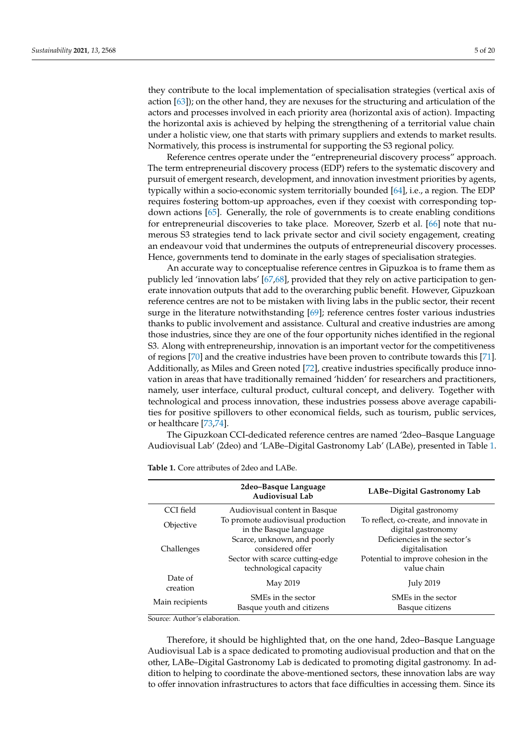they contribute to the local implementation of specialisation strategies (vertical axis of action [\[63\]](#page-17-29)); on the other hand, they are nexuses for the structuring and articulation of the actors and processes involved in each priority area (horizontal axis of action). Impacting the horizontal axis is achieved by helping the strengthening of a territorial value chain under a holistic view, one that starts with primary suppliers and extends to market results. Normatively, this process is instrumental for supporting the S3 regional policy.

Reference centres operate under the "entrepreneurial discovery process" approach. The term entrepreneurial discovery process (EDP) refers to the systematic discovery and pursuit of emergent research, development, and innovation investment priorities by agents, typically within a socio-economic system territorially bounded [\[64\]](#page-17-30), i.e., a region. The EDP requires fostering bottom-up approaches, even if they coexist with corresponding topdown actions [\[65\]](#page-18-0). Generally, the role of governments is to create enabling conditions for entrepreneurial discoveries to take place. Moreover, Szerb et al. [\[66\]](#page-18-1) note that numerous S3 strategies tend to lack private sector and civil society engagement, creating an endeavour void that undermines the outputs of entrepreneurial discovery processes. Hence, governments tend to dominate in the early stages of specialisation strategies.

An accurate way to conceptualise reference centres in Gipuzkoa is to frame them as publicly led 'innovation labs' [\[67,](#page-18-2)[68\]](#page-18-3), provided that they rely on active participation to generate innovation outputs that add to the overarching public benefit. However, Gipuzkoan reference centres are not to be mistaken with living labs in the public sector, their recent surge in the literature notwithstanding [\[69\]](#page-18-4); reference centres foster various industries thanks to public involvement and assistance. Cultural and creative industries are among those industries, since they are one of the four opportunity niches identified in the regional S3. Along with entrepreneurship, innovation is an important vector for the competitiveness of regions [\[70\]](#page-18-5) and the creative industries have been proven to contribute towards this [\[71\]](#page-18-6). Additionally, as Miles and Green noted [\[72\]](#page-18-7), creative industries specifically produce innovation in areas that have traditionally remained 'hidden' for researchers and practitioners, namely, user interface, cultural product, cultural concept, and delivery. Together with technological and process innovation, these industries possess above average capabilities for positive spillovers to other economical fields, such as tourism, public services, or healthcare [\[73](#page-18-8)[,74\]](#page-18-9).

The Gipuzkoan CCI-dedicated reference centres are named '2deo–Basque Language Audiovisual Lab' (2deo) and 'LABe–Digital Gastronomy Lab' (LABe), presented in Table [1.](#page-4-0)

|                     | 2deo-Basque Language<br>Audiovisual Lab | LABe-Digital Gastronomy Lab            |
|---------------------|-----------------------------------------|----------------------------------------|
| CCI field           | Audiovisual content in Basque           | Digital gastronomy                     |
| Objective           | To promote audiovisual production       | To reflect, co-create, and innovate in |
|                     | in the Basque language                  | digital gastronomy                     |
|                     | Scarce, unknown, and poorly             | Deficiencies in the sector's           |
| Challenges          | considered offer                        | digitalisation                         |
|                     | Sector with scarce cutting-edge         | Potential to improve cohesion in the   |
|                     | technological capacity                  | value chain                            |
| Date of<br>creation | May 2019                                | <b>July 2019</b>                       |
| Main recipients     | SMEs in the sector                      | SMEs in the sector                     |
|                     | Basque youth and citizens               | Basque citizens                        |

<span id="page-4-0"></span>**Table 1.** Core attributes of 2deo and LABe.

Source: Author's elaboration.

Therefore, it should be highlighted that, on the one hand, 2deo–Basque Language Audiovisual Lab is a space dedicated to promoting audiovisual production and that on the other, LABe–Digital Gastronomy Lab is dedicated to promoting digital gastronomy. In addition to helping to coordinate the above-mentioned sectors, these innovation labs are way to offer innovation infrastructures to actors that face difficulties in accessing them. Since its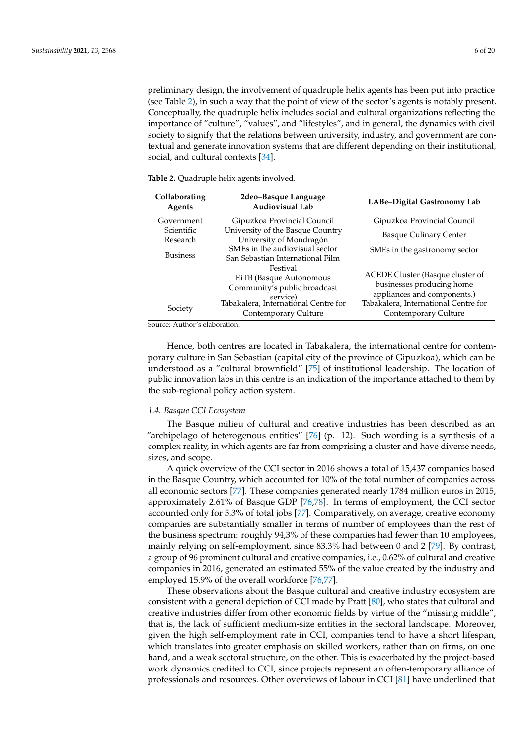preliminary design, the involvement of quadruple helix agents has been put into practice (see Table [2\)](#page-5-0), in such a way that the point of view of the sector's agents is notably present. Conceptually, the quadruple helix includes social and cultural organizations reflecting the importance of "culture", "values", and "lifestyles", and in general, the dynamics with civil society to signify that the relations between university, industry, and government are contextual and generate innovation systems that are different depending on their institutional, social, and cultural contexts [\[34\]](#page-17-3).

<span id="page-5-0"></span>**Table 2.** Quadruple helix agents involved.

urce: Author's elaboration

Hence, both centres are located in Tabakalera, the international centre for contemporary culture in San Sebastian (capital city of the province of Gipuzkoa), which can be understood as a "cultural brownfield" [\[75\]](#page-18-10) of institutional leadership. The location of public innovation labs in this centre is an indication of the importance attached to them by the sub-regional policy action system.

### *1.4. Basque CCI Ecosystem*

The Basque milieu of cultural and creative industries has been described as an "archipelago of heterogenous entities" [\[76\]](#page-18-11) (p. 12). Such wording is a synthesis of a complex reality, in which agents are far from comprising a cluster and have diverse needs, sizes, and scope.

A quick overview of the CCI sector in 2016 shows a total of 15,437 companies based in the Basque Country, which accounted for 10% of the total number of companies across all economic sectors [\[77\]](#page-18-12). These companies generated nearly 1784 million euros in 2015, approximately 2.61% of Basque GDP [\[76,](#page-18-11)[78\]](#page-18-13). In terms of employment, the CCI sector accounted only for 5.3% of total jobs [\[77\]](#page-18-12). Comparatively, on average, creative economy companies are substantially smaller in terms of number of employees than the rest of the business spectrum: roughly 94,3% of these companies had fewer than 10 employees, mainly relying on self-employment, since 83.3% had between 0 and 2 [\[79\]](#page-18-14). By contrast, a group of 96 prominent cultural and creative companies, i.e., 0.62% of cultural and creative companies in 2016, generated an estimated 55% of the value created by the industry and employed 15.9% of the overall workforce [\[76,](#page-18-11)[77\]](#page-18-12).

These observations about the Basque cultural and creative industry ecosystem are consistent with a general depiction of CCI made by Pratt [\[80\]](#page-18-15), who states that cultural and creative industries differ from other economic fields by virtue of the "missing middle", that is, the lack of sufficient medium-size entities in the sectoral landscape. Moreover, given the high self-employment rate in CCI, companies tend to have a short lifespan, which translates into greater emphasis on skilled workers, rather than on firms, on one hand, and a weak sectoral structure, on the other. This is exacerbated by the project-based work dynamics credited to CCI, since projects represent an often-temporary alliance of professionals and resources. Other overviews of labour in CCI [\[81\]](#page-18-16) have underlined that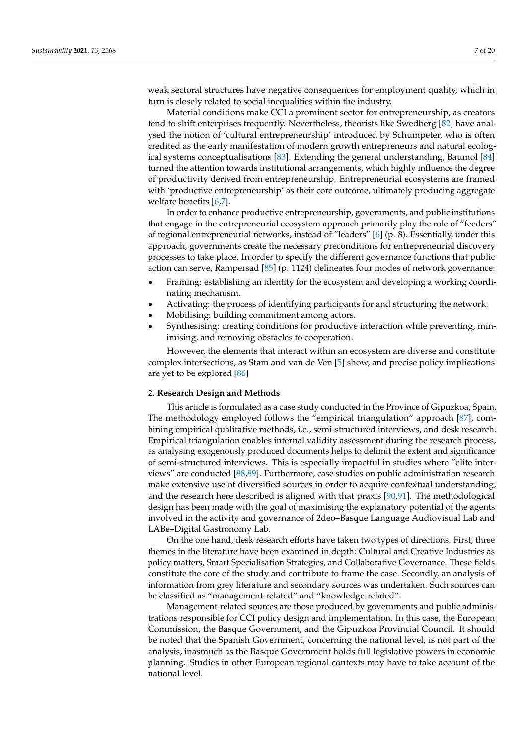weak sectoral structures have negative consequences for employment quality, which in turn is closely related to social inequalities within the industry.

Material conditions make CCI a prominent sector for entrepreneurship, as creators tend to shift enterprises frequently. Nevertheless, theorists like Swedberg [\[82\]](#page-18-17) have analysed the notion of 'cultural entrepreneurship' introduced by Schumpeter, who is often credited as the early manifestation of modern growth entrepreneurs and natural ecological systems conceptualisations [\[83\]](#page-18-18). Extending the general understanding, Baumol [\[84\]](#page-18-19) turned the attention towards institutional arrangements, which highly influence the degree of productivity derived from entrepreneurship. Entrepreneurial ecosystems are framed with 'productive entrepreneurship' as their core outcome, ultimately producing aggregate welfare benefits [\[6](#page-16-5)[,7\]](#page-16-6).

In order to enhance productive entrepreneurship, governments, and public institutions that engage in the entrepreneurial ecosystem approach primarily play the role of "feeders" of regional entrepreneurial networks, instead of "leaders" [\[6\]](#page-16-5) (p. 8). Essentially, under this approach, governments create the necessary preconditions for entrepreneurial discovery processes to take place. In order to specify the different governance functions that public action can serve, Rampersad [\[85\]](#page-18-20) (p. 1124) delineates four modes of network governance:

- Framing: establishing an identity for the ecosystem and developing a working coordinating mechanism.
- Activating: the process of identifying participants for and structuring the network.
- Mobilising: building commitment among actors.
- Synthesising: creating conditions for productive interaction while preventing, minimising, and removing obstacles to cooperation.

However, the elements that interact within an ecosystem are diverse and constitute complex intersections, as Stam and van de Ven [\[5\]](#page-16-4) show, and precise policy implications are yet to be explored [\[86\]](#page-18-21)

### **2. Research Design and Methods**

This article is formulated as a case study conducted in the Province of Gipuzkoa, Spain. The methodology employed follows the "empirical triangulation" approach [\[87\]](#page-18-22), combining empirical qualitative methods, i.e., semi-structured interviews, and desk research. Empirical triangulation enables internal validity assessment during the research process, as analysing exogenously produced documents helps to delimit the extent and significance of semi-structured interviews. This is especially impactful in studies where "elite interviews" are conducted [\[88,](#page-18-23)[89\]](#page-18-24). Furthermore, case studies on public administration research make extensive use of diversified sources in order to acquire contextual understanding, and the research here described is aligned with that praxis [\[90,](#page-18-25)[91\]](#page-18-26). The methodological design has been made with the goal of maximising the explanatory potential of the agents involved in the activity and governance of 2deo–Basque Language Audiovisual Lab and LABe–Digital Gastronomy Lab.

On the one hand, desk research efforts have taken two types of directions. First, three themes in the literature have been examined in depth: Cultural and Creative Industries as policy matters, Smart Specialisation Strategies, and Collaborative Governance. These fields constitute the core of the study and contribute to frame the case. Secondly, an analysis of information from grey literature and secondary sources was undertaken. Such sources can be classified as "management-related" and "knowledge-related".

Management-related sources are those produced by governments and public administrations responsible for CCI policy design and implementation. In this case, the European Commission, the Basque Government, and the Gipuzkoa Provincial Council. It should be noted that the Spanish Government, concerning the national level, is not part of the analysis, inasmuch as the Basque Government holds full legislative powers in economic planning. Studies in other European regional contexts may have to take account of the national level.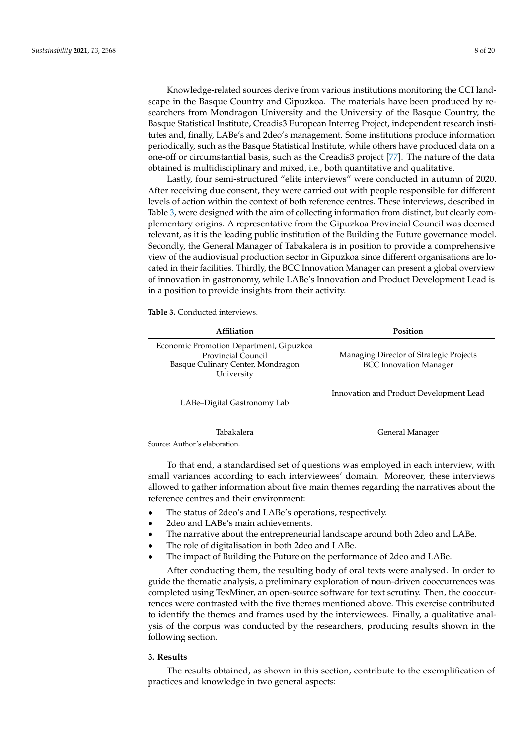Knowledge-related sources derive from various institutions monitoring the CCI landscape in the Basque Country and Gipuzkoa. The materials have been produced by researchers from Mondragon University and the University of the Basque Country, the Basque Statistical Institute, Creadis3 European Interreg Project, independent research institutes and, finally, LABe's and 2deo's management. Some institutions produce information periodically, such as the Basque Statistical Institute, while others have produced data on a one-off or circumstantial basis, such as the Creadis3 project [\[77\]](#page-18-12). The nature of the data obtained is multidisciplinary and mixed, i.e., both quantitative and qualitative.

Lastly, four semi-structured "elite interviews" were conducted in autumn of 2020. After receiving due consent, they were carried out with people responsible for different levels of action within the context of both reference centres. These interviews, described in Table [3,](#page-7-0) were designed with the aim of collecting information from distinct, but clearly complementary origins. A representative from the Gipuzkoa Provincial Council was deemed relevant, as it is the leading public institution of the Building the Future governance model. Secondly, the General Manager of Tabakalera is in position to provide a comprehensive view of the audiovisual production sector in Gipuzkoa since different organisations are located in their facilities. Thirdly, the BCC Innovation Manager can present a global overview of innovation in gastronomy, while LABe's Innovation and Product Development Lead is in a position to provide insights from their activity.

<span id="page-7-0"></span>**Table 3.** Conducted interviews.

| Affiliation                                                                                                      | Position                                                                 |  |
|------------------------------------------------------------------------------------------------------------------|--------------------------------------------------------------------------|--|
| Economic Promotion Department, Gipuzkoa<br>Provincial Council<br>Basque Culinary Center, Mondragon<br>University | Managing Director of Strategic Projects<br><b>BCC</b> Innovation Manager |  |
| LABe-Digital Gastronomy Lab                                                                                      | Innovation and Product Development Lead                                  |  |
| Tabakalera                                                                                                       | General Manager                                                          |  |
| Source: Author's elaboration.                                                                                    |                                                                          |  |

To that end, a standardised set of questions was employed in each interview, with small variances according to each interviewees' domain. Moreover, these interviews allowed to gather information about five main themes regarding the narratives about the reference centres and their environment:

- The status of 2deo's and LABe's operations, respectively.
- 2deo and LABe's main achievements.
- The narrative about the entrepreneurial landscape around both 2deo and LABe.
- The role of digitalisation in both 2deo and LABe.
	- The impact of Building the Future on the performance of 2deo and LABe.

After conducting them, the resulting body of oral texts were analysed. In order to guide the thematic analysis, a preliminary exploration of noun-driven cooccurrences was completed using TexMiner, an open-source software for text scrutiny. Then, the cooccurrences were contrasted with the five themes mentioned above. This exercise contributed to identify the themes and frames used by the interviewees. Finally, a qualitative analysis of the corpus was conducted by the researchers, producing results shown in the following section.

# **3. Results**

The results obtained, as shown in this section, contribute to the exemplification of practices and knowledge in two general aspects: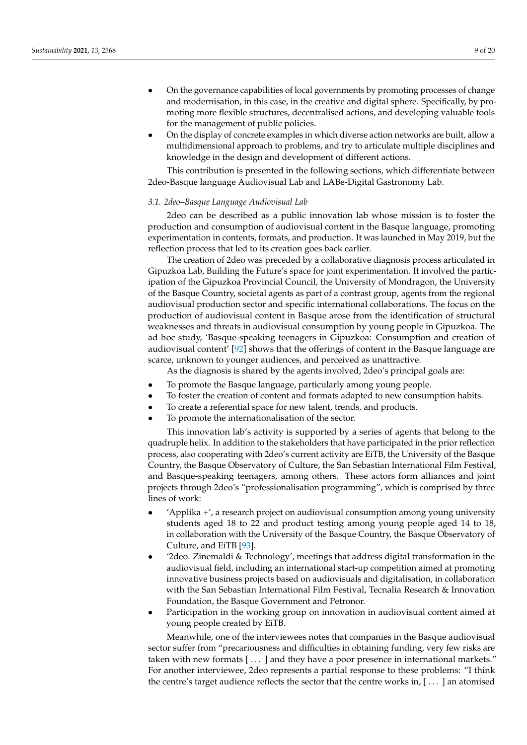- On the governance capabilities of local governments by promoting processes of change and modernisation, in this case, in the creative and digital sphere. Specifically, by promoting more flexible structures, decentralised actions, and developing valuable tools for the management of public policies.
- On the display of concrete examples in which diverse action networks are built, allow a multidimensional approach to problems, and try to articulate multiple disciplines and knowledge in the design and development of different actions.

This contribution is presented in the following sections, which differentiate between 2deo-Basque language Audiovisual Lab and LABe-Digital Gastronomy Lab.

#### *3.1. 2deo–Basque Language Audiovisual Lab*

2deo can be described as a public innovation lab whose mission is to foster the production and consumption of audiovisual content in the Basque language, promoting experimentation in contents, formats, and production. It was launched in May 2019, but the reflection process that led to its creation goes back earlier.

The creation of 2deo was preceded by a collaborative diagnosis process articulated in Gipuzkoa Lab, Building the Future's space for joint experimentation. It involved the participation of the Gipuzkoa Provincial Council, the University of Mondragon, the University of the Basque Country, societal agents as part of a contrast group, agents from the regional audiovisual production sector and specific international collaborations. The focus on the production of audiovisual content in Basque arose from the identification of structural weaknesses and threats in audiovisual consumption by young people in Gipuzkoa. The ad hoc study, 'Basque-speaking teenagers in Gipuzkoa: Consumption and creation of audiovisual content' [\[92\]](#page-18-27) shows that the offerings of content in the Basque language are scarce, unknown to younger audiences, and perceived as unattractive.

As the diagnosis is shared by the agents involved, 2deo's principal goals are:

- To promote the Basque language, particularly among young people.
- To foster the creation of content and formats adapted to new consumption habits.
- To create a referential space for new talent, trends, and products.
- To promote the internationalisation of the sector.

This innovation lab's activity is supported by a series of agents that belong to the quadruple helix. In addition to the stakeholders that have participated in the prior reflection process, also cooperating with 2deo's current activity are EiTB, the University of the Basque Country, the Basque Observatory of Culture, the San Sebastian International Film Festival, and Basque-speaking teenagers, among others. These actors form alliances and joint projects through 2deo's "professionalisation programming", which is comprised by three lines of work:

- 'Applika +', a research project on audiovisual consumption among young university students aged 18 to 22 and product testing among young people aged 14 to 18, in collaboration with the University of the Basque Country, the Basque Observatory of Culture, and EiTB [\[93\]](#page-18-28).
- '2deo. Zinemaldi & Technology', meetings that address digital transformation in the audiovisual field, including an international start-up competition aimed at promoting innovative business projects based on audiovisuals and digitalisation, in collaboration with the San Sebastian International Film Festival, Tecnalia Research & Innovation Foundation, the Basque Government and Petronor.
- Participation in the working group on innovation in audiovisual content aimed at young people created by EiTB.

Meanwhile, one of the interviewees notes that companies in the Basque audiovisual sector suffer from "precariousness and difficulties in obtaining funding, very few risks are taken with new formats [ . . . ] and they have a poor presence in international markets." For another interviewee, 2deo represents a partial response to these problems: "I think the centre's target audience reflects the sector that the centre works in, [ . . . ] an atomised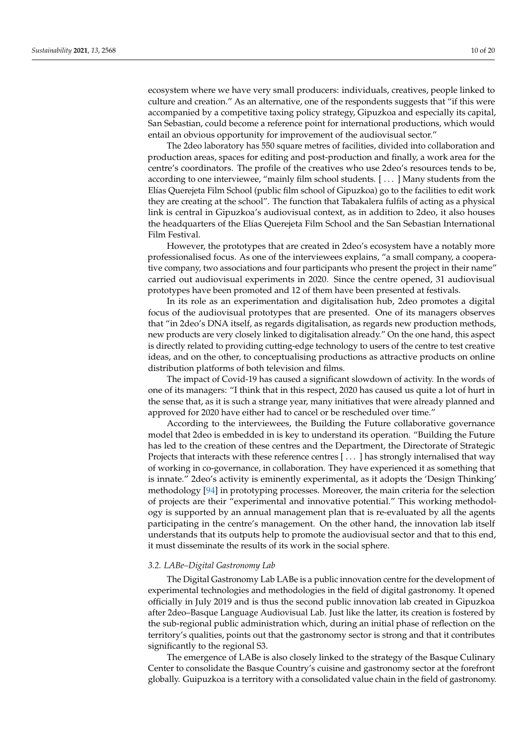ecosystem where we have very small producers: individuals, creatives, people linked to culture and creation." As an alternative, one of the respondents suggests that "if this were accompanied by a competitive taxing policy strategy, Gipuzkoa and especially its capital, San Sebastian, could become a reference point for international productions, which would entail an obvious opportunity for improvement of the audiovisual sector."

The 2deo laboratory has 550 square metres of facilities, divided into collaboration and production areas, spaces for editing and post-production and finally, a work area for the centre's coordinators. The profile of the creatives who use 2deo's resources tends to be, according to one interviewee, "mainly film school students. [ . . . ] Many students from the Elías Querejeta Film School (public film school of Gipuzkoa) go to the facilities to edit work they are creating at the school". The function that Tabakalera fulfils of acting as a physical link is central in Gipuzkoa's audiovisual context, as in addition to 2deo, it also houses the headquarters of the Elías Querejeta Film School and the San Sebastian International Film Festival.

However, the prototypes that are created in 2deo's ecosystem have a notably more professionalised focus. As one of the interviewees explains, "a small company, a cooperative company, two associations and four participants who present the project in their name" carried out audiovisual experiments in 2020. Since the centre opened, 31 audiovisual prototypes have been promoted and 12 of them have been presented at festivals.

In its role as an experimentation and digitalisation hub, 2deo promotes a digital focus of the audiovisual prototypes that are presented. One of its managers observes that "in 2deo's DNA itself, as regards digitalisation, as regards new production methods, new products are very closely linked to digitalisation already." On the one hand, this aspect is directly related to providing cutting-edge technology to users of the centre to test creative ideas, and on the other, to conceptualising productions as attractive products on online distribution platforms of both television and films.

The impact of Covid-19 has caused a significant slowdown of activity. In the words of one of its managers: "I think that in this respect, 2020 has caused us quite a lot of hurt in the sense that, as it is such a strange year, many initiatives that were already planned and approved for 2020 have either had to cancel or be rescheduled over time."

According to the interviewees, the Building the Future collaborative governance model that 2deo is embedded in is key to understand its operation. "Building the Future has led to the creation of these centres and the Department, the Directorate of Strategic Projects that interacts with these reference centres [...] has strongly internalised that way of working in co-governance, in collaboration. They have experienced it as something that is innate." 2deo's activity is eminently experimental, as it adopts the 'Design Thinking' methodology [\[94\]](#page-18-29) in prototyping processes. Moreover, the main criteria for the selection of projects are their "experimental and innovative potential." This working methodology is supported by an annual management plan that is re-evaluated by all the agents participating in the centre's management. On the other hand, the innovation lab itself understands that its outputs help to promote the audiovisual sector and that to this end, it must disseminate the results of its work in the social sphere.

# *3.2. LABe–Digital Gastronomy Lab*

The Digital Gastronomy Lab LABe is a public innovation centre for the development of experimental technologies and methodologies in the field of digital gastronomy. It opened officially in July 2019 and is thus the second public innovation lab created in Gipuzkoa after 2deo–Basque Language Audiovisual Lab. Just like the latter, its creation is fostered by the sub-regional public administration which, during an initial phase of reflection on the territory's qualities, points out that the gastronomy sector is strong and that it contributes significantly to the regional S3.

The emergence of LABe is also closely linked to the strategy of the Basque Culinary Center to consolidate the Basque Country's cuisine and gastronomy sector at the forefront globally. Guipuzkoa is a territory with a consolidated value chain in the field of gastronomy.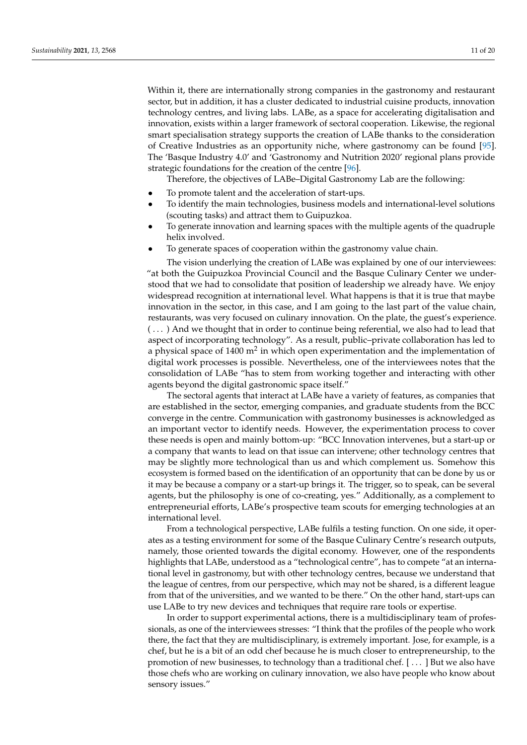Within it, there are internationally strong companies in the gastronomy and restaurant sector, but in addition, it has a cluster dedicated to industrial cuisine products, innovation technology centres, and living labs. LABe, as a space for accelerating digitalisation and innovation, exists within a larger framework of sectoral cooperation. Likewise, the regional smart specialisation strategy supports the creation of LABe thanks to the consideration of Creative Industries as an opportunity niche, where gastronomy can be found [\[95\]](#page-18-30). The 'Basque Industry 4.0' and 'Gastronomy and Nutrition 2020' regional plans provide strategic foundations for the creation of the centre [\[96\]](#page-18-31).

Therefore, the objectives of LABe–Digital Gastronomy Lab are the following:

- To promote talent and the acceleration of start-ups.
- To identify the main technologies, business models and international-level solutions (scouting tasks) and attract them to Guipuzkoa.
- To generate innovation and learning spaces with the multiple agents of the quadruple helix involved.
- To generate spaces of cooperation within the gastronomy value chain.

The vision underlying the creation of LABe was explained by one of our interviewees: "at both the Guipuzkoa Provincial Council and the Basque Culinary Center we understood that we had to consolidate that position of leadership we already have. We enjoy widespread recognition at international level. What happens is that it is true that maybe innovation in the sector, in this case, and I am going to the last part of the value chain, restaurants, was very focused on culinary innovation. On the plate, the guest's experience. ( . . . ) And we thought that in order to continue being referential, we also had to lead that aspect of incorporating technology". As a result, public–private collaboration has led to a physical space of 1400 m<sup>2</sup> in which open experimentation and the implementation of digital work processes is possible. Nevertheless, one of the interviewees notes that the consolidation of LABe "has to stem from working together and interacting with other agents beyond the digital gastronomic space itself."

The sectoral agents that interact at LABe have a variety of features, as companies that are established in the sector, emerging companies, and graduate students from the BCC converge in the centre. Communication with gastronomy businesses is acknowledged as an important vector to identify needs. However, the experimentation process to cover these needs is open and mainly bottom-up: "BCC Innovation intervenes, but a start-up or a company that wants to lead on that issue can intervene; other technology centres that may be slightly more technological than us and which complement us. Somehow this ecosystem is formed based on the identification of an opportunity that can be done by us or it may be because a company or a start-up brings it. The trigger, so to speak, can be several agents, but the philosophy is one of co-creating, yes." Additionally, as a complement to entrepreneurial efforts, LABe's prospective team scouts for emerging technologies at an international level.

From a technological perspective, LABe fulfils a testing function. On one side, it operates as a testing environment for some of the Basque Culinary Centre's research outputs, namely, those oriented towards the digital economy. However, one of the respondents highlights that LABe, understood as a "technological centre", has to compete "at an international level in gastronomy, but with other technology centres, because we understand that the league of centres, from our perspective, which may not be shared, is a different league from that of the universities, and we wanted to be there." On the other hand, start-ups can use LABe to try new devices and techniques that require rare tools or expertise.

In order to support experimental actions, there is a multidisciplinary team of professionals, as one of the interviewees stresses: "I think that the profiles of the people who work there, the fact that they are multidisciplinary, is extremely important. Jose, for example, is a chef, but he is a bit of an odd chef because he is much closer to entrepreneurship, to the promotion of new businesses, to technology than a traditional chef. [ . . . ] But we also have those chefs who are working on culinary innovation, we also have people who know about sensory issues."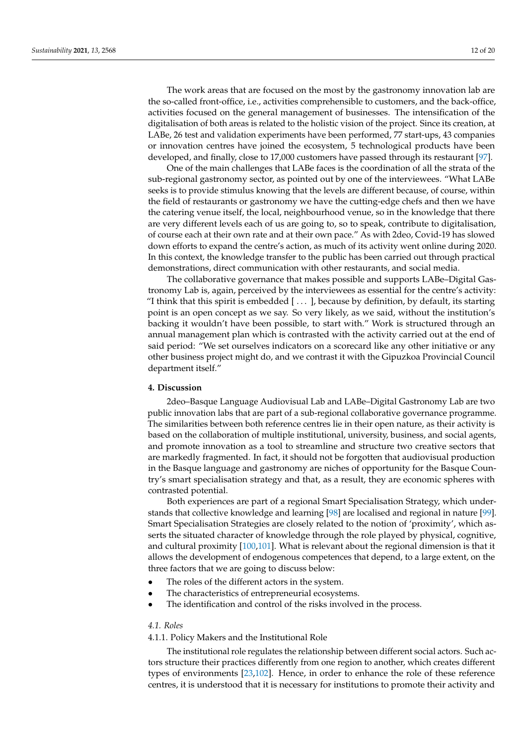The work areas that are focused on the most by the gastronomy innovation lab are the so-called front-office, i.e., activities comprehensible to customers, and the back-office, activities focused on the general management of businesses. The intensification of the digitalisation of both areas is related to the holistic vision of the project. Since its creation, at LABe, 26 test and validation experiments have been performed, 77 start-ups, 43 companies or innovation centres have joined the ecosystem, 5 technological products have been developed, and finally, close to 17,000 customers have passed through its restaurant [\[97\]](#page-18-32).

One of the main challenges that LABe faces is the coordination of all the strata of the sub-regional gastronomy sector, as pointed out by one of the interviewees. "What LABe seeks is to provide stimulus knowing that the levels are different because, of course, within the field of restaurants or gastronomy we have the cutting-edge chefs and then we have the catering venue itself, the local, neighbourhood venue, so in the knowledge that there are very different levels each of us are going to, so to speak, contribute to digitalisation, of course each at their own rate and at their own pace." As with 2deo, Covid-19 has slowed down efforts to expand the centre's action, as much of its activity went online during 2020. In this context, the knowledge transfer to the public has been carried out through practical demonstrations, direct communication with other restaurants, and social media.

The collaborative governance that makes possible and supports LABe–Digital Gastronomy Lab is, again, perceived by the interviewees as essential for the centre's activity: "I think that this spirit is embedded  $[\ldots]$ , because by definition, by default, its starting point is an open concept as we say. So very likely, as we said, without the institution's backing it wouldn't have been possible, to start with." Work is structured through an annual management plan which is contrasted with the activity carried out at the end of said period: "We set ourselves indicators on a scorecard like any other initiative or any other business project might do, and we contrast it with the Gipuzkoa Provincial Council department itself."

# **4. Discussion**

2deo–Basque Language Audiovisual Lab and LABe–Digital Gastronomy Lab are two public innovation labs that are part of a sub-regional collaborative governance programme. The similarities between both reference centres lie in their open nature, as their activity is based on the collaboration of multiple institutional, university, business, and social agents, and promote innovation as a tool to streamline and structure two creative sectors that are markedly fragmented. In fact, it should not be forgotten that audiovisual production in the Basque language and gastronomy are niches of opportunity for the Basque Country's smart specialisation strategy and that, as a result, they are economic spheres with contrasted potential.

Both experiences are part of a regional Smart Specialisation Strategy, which understands that collective knowledge and learning [\[98\]](#page-18-33) are localised and regional in nature [\[99\]](#page-18-34). Smart Specialisation Strategies are closely related to the notion of 'proximity', which asserts the situated character of knowledge through the role played by physical, cognitive, and cultural proximity [\[100](#page-18-35)[,101\]](#page-18-36). What is relevant about the regional dimension is that it allows the development of endogenous competences that depend, to a large extent, on the three factors that we are going to discuss below:

- The roles of the different actors in the system.
- The characteristics of entrepreneurial ecosystems.
- The identification and control of the risks involved in the process.

# *4.1. Roles*

# 4.1.1. Policy Makers and the Institutional Role

The institutional role regulates the relationship between different social actors. Such actors structure their practices differently from one region to another, which creates different types of environments [\[23](#page-16-21)[,102\]](#page-19-0). Hence, in order to enhance the role of these reference centres, it is understood that it is necessary for institutions to promote their activity and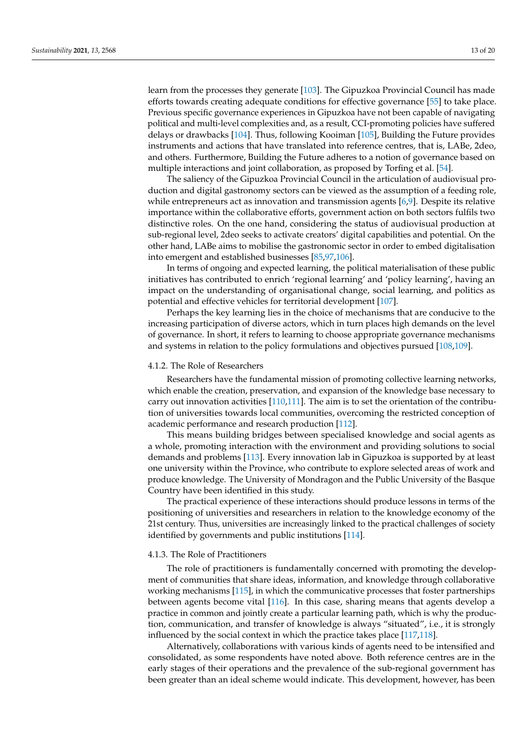learn from the processes they generate [\[103\]](#page-19-1). The Gipuzkoa Provincial Council has made efforts towards creating adequate conditions for effective governance [\[55\]](#page-17-21) to take place. Previous specific governance experiences in Gipuzkoa have not been capable of navigating political and multi-level complexities and, as a result, CCI-promoting policies have suffered delays or drawbacks [\[104\]](#page-19-2). Thus, following Kooiman [\[105\]](#page-19-3), Building the Future provides instruments and actions that have translated into reference centres, that is, LABe, 2deo, and others. Furthermore, Building the Future adheres to a notion of governance based on multiple interactions and joint collaboration, as proposed by Torfing et al. [\[54\]](#page-17-20).

The saliency of the Gipuzkoa Provincial Council in the articulation of audiovisual production and digital gastronomy sectors can be viewed as the assumption of a feeding role, while entrepreneurs act as innovation and transmission agents [\[6](#page-16-5)[,9\]](#page-16-8). Despite its relative importance within the collaborative efforts, government action on both sectors fulfils two distinctive roles. On the one hand, considering the status of audiovisual production at sub-regional level, 2deo seeks to activate creators' digital capabilities and potential. On the other hand, LABe aims to mobilise the gastronomic sector in order to embed digitalisation into emergent and established businesses [\[85](#page-18-20)[,97,](#page-18-32)[106\]](#page-19-4).

In terms of ongoing and expected learning, the political materialisation of these public initiatives has contributed to enrich 'regional learning' and 'policy learning', having an impact on the understanding of organisational change, social learning, and politics as potential and effective vehicles for territorial development [\[107\]](#page-19-5).

Perhaps the key learning lies in the choice of mechanisms that are conducive to the increasing participation of diverse actors, which in turn places high demands on the level of governance. In short, it refers to learning to choose appropriate governance mechanisms and systems in relation to the policy formulations and objectives pursued [\[108,](#page-19-6)[109\]](#page-19-7).

## 4.1.2. The Role of Researchers

Researchers have the fundamental mission of promoting collective learning networks, which enable the creation, preservation, and expansion of the knowledge base necessary to carry out innovation activities [\[110,](#page-19-8)[111\]](#page-19-9). The aim is to set the orientation of the contribution of universities towards local communities, overcoming the restricted conception of academic performance and research production [\[112\]](#page-19-10).

This means building bridges between specialised knowledge and social agents as a whole, promoting interaction with the environment and providing solutions to social demands and problems [\[113\]](#page-19-11). Every innovation lab in Gipuzkoa is supported by at least one university within the Province, who contribute to explore selected areas of work and produce knowledge. The University of Mondragon and the Public University of the Basque Country have been identified in this study.

The practical experience of these interactions should produce lessons in terms of the positioning of universities and researchers in relation to the knowledge economy of the 21st century. Thus, universities are increasingly linked to the practical challenges of society identified by governments and public institutions [\[114\]](#page-19-12).

# 4.1.3. The Role of Practitioners

The role of practitioners is fundamentally concerned with promoting the development of communities that share ideas, information, and knowledge through collaborative working mechanisms [\[115\]](#page-19-13), in which the communicative processes that foster partnerships between agents become vital [\[116\]](#page-19-14). In this case, sharing means that agents develop a practice in common and jointly create a particular learning path, which is why the production, communication, and transfer of knowledge is always "situated", i.e., it is strongly influenced by the social context in which the practice takes place [\[117,](#page-19-15)[118\]](#page-19-16).

Alternatively, collaborations with various kinds of agents need to be intensified and consolidated, as some respondents have noted above. Both reference centres are in the early stages of their operations and the prevalence of the sub-regional government has been greater than an ideal scheme would indicate. This development, however, has been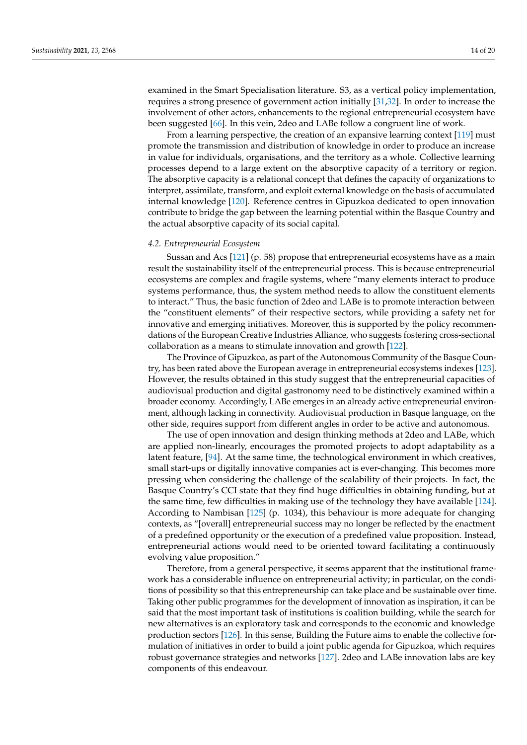examined in the Smart Specialisation literature. S3, as a vertical policy implementation, requires a strong presence of government action initially [\[31,](#page-17-0)[32\]](#page-17-1). In order to increase the involvement of other actors, enhancements to the regional entrepreneurial ecosystem have been suggested [\[66\]](#page-18-1). In this vein, 2deo and LABe follow a congruent line of work.

From a learning perspective, the creation of an expansive learning context [\[119\]](#page-19-17) must promote the transmission and distribution of knowledge in order to produce an increase in value for individuals, organisations, and the territory as a whole. Collective learning processes depend to a large extent on the absorptive capacity of a territory or region. The absorptive capacity is a relational concept that defines the capacity of organizations to interpret, assimilate, transform, and exploit external knowledge on the basis of accumulated internal knowledge [\[120\]](#page-19-18). Reference centres in Gipuzkoa dedicated to open innovation contribute to bridge the gap between the learning potential within the Basque Country and the actual absorptive capacity of its social capital.

### *4.2. Entrepreneurial Ecosystem*

Sussan and Acs [\[121\]](#page-19-19) (p. 58) propose that entrepreneurial ecosystems have as a main result the sustainability itself of the entrepreneurial process. This is because entrepreneurial ecosystems are complex and fragile systems, where "many elements interact to produce systems performance, thus, the system method needs to allow the constituent elements to interact." Thus, the basic function of 2deo and LABe is to promote interaction between the "constituent elements" of their respective sectors, while providing a safety net for innovative and emerging initiatives. Moreover, this is supported by the policy recommendations of the European Creative Industries Alliance, who suggests fostering cross-sectional collaboration as a means to stimulate innovation and growth [\[122\]](#page-19-20).

The Province of Gipuzkoa, as part of the Autonomous Community of the Basque Country, has been rated above the European average in entrepreneurial ecosystems indexes [\[123\]](#page-19-21). However, the results obtained in this study suggest that the entrepreneurial capacities of audiovisual production and digital gastronomy need to be distinctively examined within a broader economy. Accordingly, LABe emerges in an already active entrepreneurial environment, although lacking in connectivity. Audiovisual production in Basque language, on the other side, requires support from different angles in order to be active and autonomous.

The use of open innovation and design thinking methods at 2deo and LABe, which are applied non-linearly, encourages the promoted projects to adopt adaptability as a latent feature, [\[94\]](#page-18-29). At the same time, the technological environment in which creatives, small start-ups or digitally innovative companies act is ever-changing. This becomes more pressing when considering the challenge of the scalability of their projects. In fact, the Basque Country's CCI state that they find huge difficulties in obtaining funding, but at the same time, few difficulties in making use of the technology they have available [\[124\]](#page-19-22). According to Nambisan [\[125\]](#page-19-23) (p. 1034), this behaviour is more adequate for changing contexts, as "[overall] entrepreneurial success may no longer be reflected by the enactment of a predefined opportunity or the execution of a predefined value proposition. Instead, entrepreneurial actions would need to be oriented toward facilitating a continuously evolving value proposition."

Therefore, from a general perspective, it seems apparent that the institutional framework has a considerable influence on entrepreneurial activity; in particular, on the conditions of possibility so that this entrepreneurship can take place and be sustainable over time. Taking other public programmes for the development of innovation as inspiration, it can be said that the most important task of institutions is coalition building, while the search for new alternatives is an exploratory task and corresponds to the economic and knowledge production sectors [\[126\]](#page-19-24). In this sense, Building the Future aims to enable the collective formulation of initiatives in order to build a joint public agenda for Gipuzkoa, which requires robust governance strategies and networks [\[127\]](#page-19-25). 2deo and LABe innovation labs are key components of this endeavour.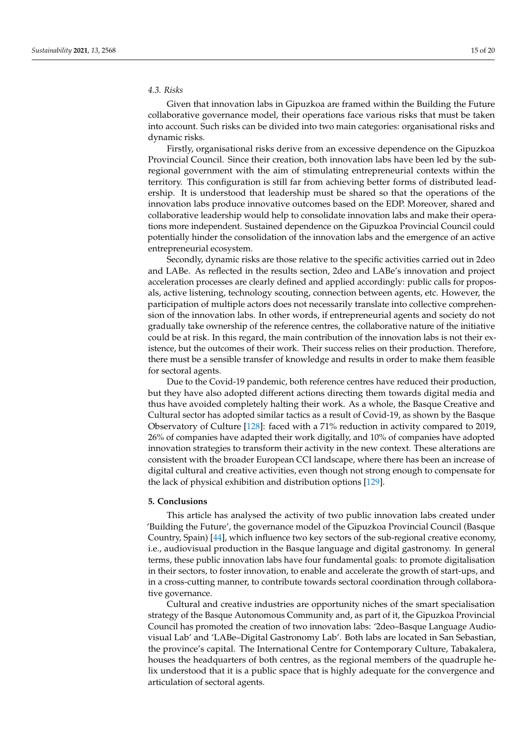# *4.3. Risks*

Given that innovation labs in Gipuzkoa are framed within the Building the Future collaborative governance model, their operations face various risks that must be taken into account. Such risks can be divided into two main categories: organisational risks and dynamic risks.

Firstly, organisational risks derive from an excessive dependence on the Gipuzkoa Provincial Council. Since their creation, both innovation labs have been led by the subregional government with the aim of stimulating entrepreneurial contexts within the territory. This configuration is still far from achieving better forms of distributed leadership. It is understood that leadership must be shared so that the operations of the innovation labs produce innovative outcomes based on the EDP. Moreover, shared and collaborative leadership would help to consolidate innovation labs and make their operations more independent. Sustained dependence on the Gipuzkoa Provincial Council could potentially hinder the consolidation of the innovation labs and the emergence of an active entrepreneurial ecosystem.

Secondly, dynamic risks are those relative to the specific activities carried out in 2deo and LABe. As reflected in the results section, 2deo and LABe's innovation and project acceleration processes are clearly defined and applied accordingly: public calls for proposals, active listening, technology scouting, connection between agents, etc. However, the participation of multiple actors does not necessarily translate into collective comprehension of the innovation labs. In other words, if entrepreneurial agents and society do not gradually take ownership of the reference centres, the collaborative nature of the initiative could be at risk. In this regard, the main contribution of the innovation labs is not their existence, but the outcomes of their work. Their success relies on their production. Therefore, there must be a sensible transfer of knowledge and results in order to make them feasible for sectoral agents.

Due to the Covid-19 pandemic, both reference centres have reduced their production, but they have also adopted different actions directing them towards digital media and thus have avoided completely halting their work. As a whole, the Basque Creative and Cultural sector has adopted similar tactics as a result of Covid-19, as shown by the Basque Observatory of Culture [\[128\]](#page-19-26): faced with a 71% reduction in activity compared to 2019, 26% of companies have adapted their work digitally, and 10% of companies have adopted innovation strategies to transform their activity in the new context. These alterations are consistent with the broader European CCI landscape, where there has been an increase of digital cultural and creative activities, even though not strong enough to compensate for the lack of physical exhibition and distribution options [\[129\]](#page-19-27).

# **5. Conclusions**

This article has analysed the activity of two public innovation labs created under 'Building the Future', the governance model of the Gipuzkoa Provincial Council (Basque Country, Spain) [\[44\]](#page-17-13), which influence two key sectors of the sub-regional creative economy, i.e., audiovisual production in the Basque language and digital gastronomy. In general terms, these public innovation labs have four fundamental goals: to promote digitalisation in their sectors, to foster innovation, to enable and accelerate the growth of start-ups, and in a cross-cutting manner, to contribute towards sectoral coordination through collaborative governance.

Cultural and creative industries are opportunity niches of the smart specialisation strategy of the Basque Autonomous Community and, as part of it, the Gipuzkoa Provincial Council has promoted the creation of two innovation labs: '2deo–Basque Language Audiovisual Lab' and 'LABe–Digital Gastronomy Lab'. Both labs are located in San Sebastian, the province's capital. The International Centre for Contemporary Culture, Tabakalera, houses the headquarters of both centres, as the regional members of the quadruple helix understood that it is a public space that is highly adequate for the convergence and articulation of sectoral agents.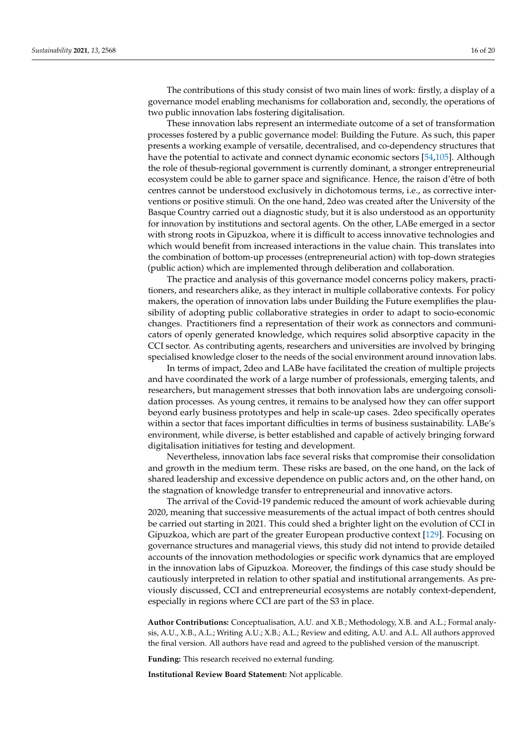The contributions of this study consist of two main lines of work: firstly, a display of a governance model enabling mechanisms for collaboration and, secondly, the operations of two public innovation labs fostering digitalisation.

These innovation labs represent an intermediate outcome of a set of transformation processes fostered by a public governance model: Building the Future. As such, this paper presents a working example of versatile, decentralised, and co-dependency structures that have the potential to activate and connect dynamic economic sectors [\[54](#page-17-20)[,105\]](#page-19-3). Although the role of thesub-regional government is currently dominant, a stronger entrepreneurial ecosystem could be able to garner space and significance. Hence, the raison d'être of both centres cannot be understood exclusively in dichotomous terms, i.e., as corrective interventions or positive stimuli. On the one hand, 2deo was created after the University of the Basque Country carried out a diagnostic study, but it is also understood as an opportunity for innovation by institutions and sectoral agents. On the other, LABe emerged in a sector with strong roots in Gipuzkoa, where it is difficult to access innovative technologies and which would benefit from increased interactions in the value chain. This translates into the combination of bottom-up processes (entrepreneurial action) with top-down strategies (public action) which are implemented through deliberation and collaboration.

The practice and analysis of this governance model concerns policy makers, practitioners, and researchers alike, as they interact in multiple collaborative contexts. For policy makers, the operation of innovation labs under Building the Future exemplifies the plausibility of adopting public collaborative strategies in order to adapt to socio-economic changes. Practitioners find a representation of their work as connectors and communicators of openly generated knowledge, which requires solid absorptive capacity in the CCI sector. As contributing agents, researchers and universities are involved by bringing specialised knowledge closer to the needs of the social environment around innovation labs.

In terms of impact, 2deo and LABe have facilitated the creation of multiple projects and have coordinated the work of a large number of professionals, emerging talents, and researchers, but management stresses that both innovation labs are undergoing consolidation processes. As young centres, it remains to be analysed how they can offer support beyond early business prototypes and help in scale-up cases. 2deo specifically operates within a sector that faces important difficulties in terms of business sustainability. LABe's environment, while diverse, is better established and capable of actively bringing forward digitalisation initiatives for testing and development.

Nevertheless, innovation labs face several risks that compromise their consolidation and growth in the medium term. These risks are based, on the one hand, on the lack of shared leadership and excessive dependence on public actors and, on the other hand, on the stagnation of knowledge transfer to entrepreneurial and innovative actors.

The arrival of the Covid-19 pandemic reduced the amount of work achievable during 2020, meaning that successive measurements of the actual impact of both centres should be carried out starting in 2021. This could shed a brighter light on the evolution of CCI in Gipuzkoa, which are part of the greater European productive context [\[129\]](#page-19-27). Focusing on governance structures and managerial views, this study did not intend to provide detailed accounts of the innovation methodologies or specific work dynamics that are employed in the innovation labs of Gipuzkoa. Moreover, the findings of this case study should be cautiously interpreted in relation to other spatial and institutional arrangements. As previously discussed, CCI and entrepreneurial ecosystems are notably context-dependent, especially in regions where CCI are part of the S3 in place.

**Author Contributions:** Conceptualisation, A.U. and X.B.; Methodology, X.B. and A.L.; Formal analysis, A.U., X.B., A.L.; Writing A.U.; X.B.; A.L.; Review and editing, A.U. and A.L. All authors approved the final version. All authors have read and agreed to the published version of the manuscript.

**Funding:** This research received no external funding.

**Institutional Review Board Statement:** Not applicable.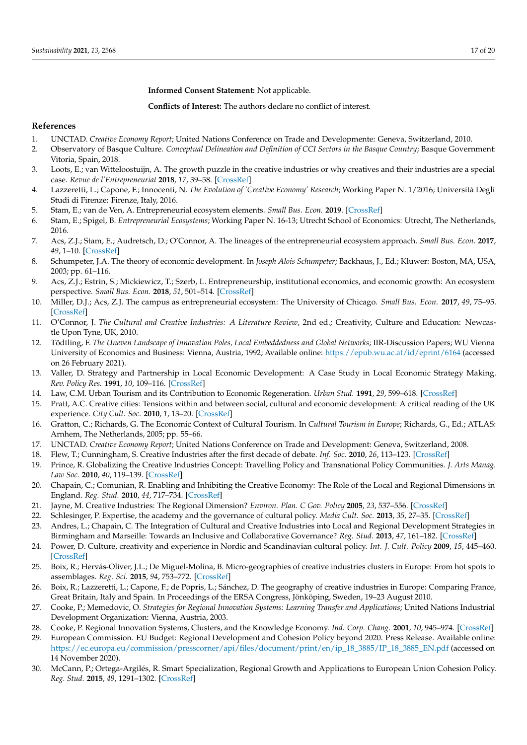**Informed Consent Statement:** Not applicable.

**Conflicts of Interest:** The authors declare no conflict of interest.

# **References**

- <span id="page-16-0"></span>1. UNCTAD. *Creative Economy Report*; United Nations Conference on Trade and Developmente: Geneva, Switzerland, 2010.
- <span id="page-16-1"></span>2. Observatory of Basque Culture. *Conceptual Delineation and Definition of CCI Sectors in the Basque Country*; Basque Government: Vitoria, Spain, 2018.
- <span id="page-16-2"></span>3. Loots, E.; van Witteloostuijn, A. The growth puzzle in the creative industries or why creatives and their industries are a special case. *Revue de l'Entrepreneuriat* **2018**, *17*, 39–58. [\[CrossRef\]](http://doi.org/10.3917/entre.171.0039)
- <span id="page-16-3"></span>4. Lazzeretti, L.; Capone, F.; Innocenti, N. *The Evolution of 'Creative Economy' Research*; Working Paper N. 1/2016; Università Degli Studi di Firenze: Firenze, Italy, 2016.
- <span id="page-16-4"></span>5. Stam, E.; van de Ven, A. Entrepreneurial ecosystem elements. *Small Bus. Econ.* **2019**. [\[CrossRef\]](http://doi.org/10.1007/s11187-019-00270-6)
- <span id="page-16-5"></span>6. Stam, E.; Spigel, B. *Entrepreneurial Ecosystems*; Working Paper N. 16-13; Utrecht School of Economics: Utrecht, The Netherlands, 2016.
- <span id="page-16-6"></span>7. Acs, Z.J.; Stam, E.; Audretsch, D.; O'Connor, A. The lineages of the entrepreneurial ecosystem approach. *Small Bus. Econ.* **2017**, *49*, 1–10. [\[CrossRef\]](http://doi.org/10.1007/s11187-017-9864-8)
- <span id="page-16-7"></span>8. Schumpeter, J.A. The theory of economic development. In *Joseph Alois Schumpeter*; Backhaus, J., Ed.; Kluwer: Boston, MA, USA, 2003; pp. 61–116.
- <span id="page-16-8"></span>9. Acs, Z.J.; Estrin, S.; Mickiewicz, T.; Szerb, L. Entrepreneurship, institutional economics, and economic growth: An ecosystem perspective. *Small Bus. Econ.* **2018**, *51*, 501–514. [\[CrossRef\]](http://doi.org/10.1007/s11187-018-0013-9)
- <span id="page-16-9"></span>10. Miller, D.J.; Acs, Z.J. The campus as entrepreneurial ecosystem: The University of Chicago. *Small Bus. Econ.* **2017**, *49*, 75–95. [\[CrossRef\]](http://doi.org/10.1007/s11187-017-9868-4)
- <span id="page-16-10"></span>11. O'Connor, J. *The Cultural and Creative Industries: A Literature Review*, 2nd ed.; Creativity, Culture and Education: Newcastle Upon Tyne, UK, 2010.
- 12. Tödtling, F. *The Uneven Landscape of Innovation Poles, Local Embeddedness and Global Networks*; IIR-Discussion Papers; WU Vienna University of Economics and Business: Vienna, Austria, 1992; Available online: <https://epub.wu.ac.at/id/eprint/6164> (accessed on 26 February 2021).
- <span id="page-16-11"></span>13. Valler, D. Strategy and Partnership in Local Economic Development: A Case Study in Local Economic Strategy Making. *Rev. Policy Res.* **1991**, *10*, 109–116. [\[CrossRef\]](http://doi.org/10.1111/j.1541-1338.1991.tb00099.x)
- <span id="page-16-12"></span>14. Law, C.M. Urban Tourism and its Contribution to Economic Regeneration. *Urban Stud.* **1991**, *29*, 599–618. [\[CrossRef\]](http://doi.org/10.1080/00420989220080581)
- <span id="page-16-13"></span>15. Pratt, A.C. Creative cities: Tensions within and between social, cultural and economic development: A critical reading of the UK experience. *City Cult. Soc.* **2010**, *1*, 13–20. [\[CrossRef\]](http://doi.org/10.1016/j.ccs.2010.04.001)
- <span id="page-16-14"></span>16. Gratton, C.; Richards, G. The Economic Context of Cultural Tourism. In *Cultural Tourism in Europe*; Richards, G., Ed.; ATLAS: Arnhem, The Netherlands, 2005; pp. 55–66.
- <span id="page-16-15"></span>17. UNCTAD. *Creative Economy Report*; United Nations Conference on Trade and Development: Geneva, Switzerland, 2008.
- <span id="page-16-16"></span>18. Flew, T.; Cunningham, S. Creative Industries after the first decade of debate. *Inf. Soc.* **2010**, *26*, 113–123. [\[CrossRef\]](http://doi.org/10.1080/01972240903562753)
- <span id="page-16-17"></span>19. Prince, R. Globalizing the Creative Industries Concept: Travelling Policy and Transnational Policy Communities. *J. Arts Manag. Law Soc.* **2010**, *40*, 119–139. [\[CrossRef\]](http://doi.org/10.1080/10632921.2010.486282)
- <span id="page-16-18"></span>20. Chapain, C.; Comunian, R. Enabling and Inhibiting the Creative Economy: The Role of the Local and Regional Dimensions in England. *Reg. Stud.* **2010**, *44*, 717–734. [\[CrossRef\]](http://doi.org/10.1080/00343400903107728)
- <span id="page-16-19"></span>21. Jayne, M. Creative Industries: The Regional Dimension? *Environ. Plan. C Gov. Policy* **2005**, *23*, 537–556. [\[CrossRef\]](http://doi.org/10.1068/c0453)
- <span id="page-16-20"></span>22. Schlesinger, P. Expertise, the academy and the governance of cultural policy. *Media Cult. Soc.* **2013**, *35*, 27–35. [\[CrossRef\]](http://doi.org/10.1177/0163443712464555)
- <span id="page-16-21"></span>23. Andres, L.; Chapain, C. The Integration of Cultural and Creative Industries into Local and Regional Development Strategies in Birmingham and Marseille: Towards an Inclusive and Collaborative Governance? *Reg. Stud.* **2013**, *47*, 161–182. [\[CrossRef\]](http://doi.org/10.1080/00343404.2011.644531)
- 24. Power, D. Culture, creativity and experience in Nordic and Scandinavian cultural policy. *Int. J. Cult. Policy* **2009**, *15*, 445–460. [\[CrossRef\]](http://doi.org/10.1080/10286630902893690)
- 25. Boix, R.; Hervás-Oliver, J.L.; De Miguel-Molina, B. Micro-geographies of creative industries clusters in Europe: From hot spots to assemblages. *Reg. Sci.* **2015**, *94*, 753–772. [\[CrossRef\]](http://doi.org/10.1111/pirs.12094)
- <span id="page-16-22"></span>26. Boix, R.; Lazzeretti, L.; Capone, F.; de Popris, L.; Sánchez, D. The geography of creative industries in Europe: Comparing France, Great Britain, Italy and Spain. In Proceedings of the ERSA Congress, Jönköping, Sweden, 19–23 August 2010.
- <span id="page-16-23"></span>27. Cooke, P.; Memedovic, O. *Strategies for Regional Innovation Systems: Learning Transfer and Applications*; United Nations Industrial Development Organization: Vienna, Austria, 2003.
- <span id="page-16-24"></span>28. Cooke, P. Regional Innovation Systems, Clusters, and the Knowledge Economy. *Ind. Corp. Chang.* **2001**, *10*, 945–974. [\[CrossRef\]](http://doi.org/10.1093/icc/10.4.945)
- <span id="page-16-25"></span>29. European Commission. EU Budget: Regional Development and Cohesion Policy beyond 2020. Press Release. Available online: [https://ec.europa.eu/commission/presscorner/api/files/document/print/en/ip\\_18\\_3885/IP\\_18\\_3885\\_EN.pdf](https://ec.europa.eu/commission/presscorner/api/files/document/print/en/ip_18_3885/IP_18_3885_EN.pdf) (accessed on 14 November 2020).
- <span id="page-16-26"></span>30. McCann, P.; Ortega-Argilés, R. Smart Specialization, Regional Growth and Applications to European Union Cohesion Policy. *Reg. Stud.* **2015**, *49*, 1291–1302. [\[CrossRef\]](http://doi.org/10.1080/00343404.2013.799769)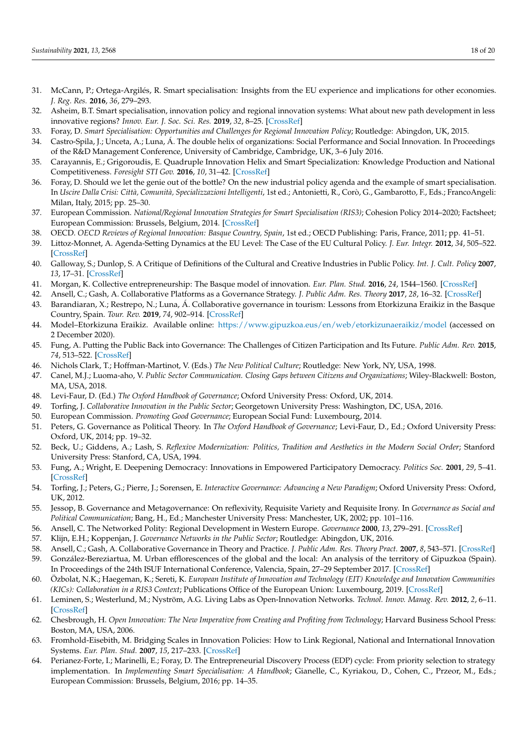- <span id="page-17-0"></span>31. McCann, P.; Ortega-Argilés, R. Smart specialisation: Insights from the EU experience and implications for other economies. *J. Reg. Res.* **2016**, *36*, 279–293.
- <span id="page-17-1"></span>32. Asheim, B.T. Smart specialisation, innovation policy and regional innovation systems: What about new path development in less innovative regions? *Innov. Eur. J. Soc. Sci. Res.* **2019**, *32*, 8–25. [\[CrossRef\]](http://doi.org/10.1080/13511610.2018.1491001)
- <span id="page-17-2"></span>33. Foray, D. *Smart Specialisation: Opportunities and Challenges for Regional Innovation Policy*; Routledge: Abingdon, UK, 2015.
- <span id="page-17-3"></span>34. Castro-Spila, J.; Unceta, A.; Luna, Á. The double helix of organizations: Social Performance and Social Innovation. In Proceedings of the R&D Management Conference, University of Cambridge, Cambridge, UK, 3–6 July 2016.
- <span id="page-17-4"></span>35. Carayannis, E.; Grigoroudis, E. Quadruple Innovation Helix and Smart Specialization: Knowledge Production and National Competitiveness. *Foresight STI Gov.* **2016**, *10*, 31–42. [\[CrossRef\]](http://doi.org/10.17323/1995-459x.2016.1.31.42)
- <span id="page-17-5"></span>36. Foray, D. Should we let the genie out of the bottle? On the new industrial policy agenda and the example of smart specialisation. In *Uscire Dalla Crisi: Città, Comunità, Specializzazioni Intelligenti*, 1st ed.; Antonietti, R., Corò, G., Gambarotto, F., Eds.; FrancoAngeli: Milan, Italy, 2015; pp. 25–30.
- <span id="page-17-6"></span>37. European Commission. *National/Regional Innovation Strategies for Smart Specialisation (RIS3)*; Cohesion Policy 2014–2020; Factsheet; European Commission: Brussels, Belgium, 2014. [\[CrossRef\]](http://doi.org/10.2776/20697)
- <span id="page-17-7"></span>38. OECD. *OECD Reviews of Regional Innovation: Basque Country, Spain*, 1st ed.; OECD Publishing: Paris, France, 2011; pp. 41–51.
- <span id="page-17-8"></span>39. Littoz-Monnet, A. Agenda-Setting Dynamics at the EU Level: The Case of the EU Cultural Policy. *J. Eur. Integr.* **2012**, *34*, 505–522. [\[CrossRef\]](http://doi.org/10.1080/07036337.2011.638065)
- <span id="page-17-9"></span>40. Galloway, S.; Dunlop, S. A Critique of Definitions of the Cultural and Creative Industries in Public Policy. *Int. J. Cult. Policy* **2007**, *13*, 17–31. [\[CrossRef\]](http://doi.org/10.1080/10286630701201657)
- <span id="page-17-10"></span>41. Morgan, K. Collective entrepreneurship: The Basque model of innovation. *Eur. Plan. Stud.* **2016**, *24*, 1544–1560. [\[CrossRef\]](http://doi.org/10.1080/09654313.2016.1151483)
- <span id="page-17-11"></span>42. Ansell, C.; Gash, A. Collaborative Platforms as a Governance Strategy. *J. Public Adm. Res. Theory* **2017**, *28*, 16–32. [\[CrossRef\]](http://doi.org/10.1093/jopart/mux030)
- <span id="page-17-12"></span>43. Barandiaran, X.; Restrepo, N.; Luna, Á. Collaborative governance in tourism: Lessons from Etorkizuna Eraikiz in the Basque Country, Spain. *Tour. Rev.* **2019**, *74*, 902–914. [\[CrossRef\]](http://doi.org/10.1108/TR-09-2018-0133)
- <span id="page-17-13"></span>44. Model–Etorkizuna Eraikiz. Available online: <https://www.gipuzkoa.eus/en/web/etorkizunaeraikiz/model> (accessed on 2 December 2020).
- <span id="page-17-14"></span>45. Fung, A. Putting the Public Back into Governance: The Challenges of Citizen Participation and Its Future. *Public Adm. Rev.* **2015**, *74*, 513–522. [\[CrossRef\]](http://doi.org/10.1111/puar.12361)
- 46. Nichols Clark, T.; Hoffman-Martinot, V. (Eds.) *The New Political Culture*; Routledge: New York, NY, USA, 1998.
- <span id="page-17-15"></span>47. Canel, M.J.; Luoma-aho, V. *Public Sector Communication. Closing Gaps between Citizens and Organizations*; Wiley-Blackwell: Boston, MA, USA, 2018.
- <span id="page-17-16"></span>48. Levi-Faur, D. (Ed.) *The Oxford Handbook of Governance*; Oxford University Press: Oxford, UK, 2014.
- 49. Torfing, J. *Collaborative Innovation in the Public Sector*; Georgetown University Press: Washington, DC, USA, 2016.
- 50. European Commission. *Promoting Good Governance*; European Social Fund: Luxembourg, 2014.
- <span id="page-17-17"></span>51. Peters, G. Governance as Political Theory. In *The Oxford Handbook of Governance*; Levi-Faur, D., Ed.; Oxford University Press: Oxford, UK, 2014; pp. 19–32.
- <span id="page-17-18"></span>52. Beck, U.; Giddens, A.; Lash, S. *Reflexive Modernization: Politics, Tradition and Aesthetics in the Modern Social Order*; Stanford University Press: Stanford, CA, USA, 1994.
- <span id="page-17-19"></span>53. Fung, A.; Wright, E. Deepening Democracy: Innovations in Empowered Participatory Democracy. *Politics Soc.* **2001**, *29*, 5–41. [\[CrossRef\]](http://doi.org/10.1177/0032329201029001002)
- <span id="page-17-20"></span>54. Torfing, J.; Peters, G.; Pierre, J.; Sorensen, E. *Interactive Governance: Advancing a New Paradigm*; Oxford University Press: Oxford, UK, 2012.
- <span id="page-17-21"></span>55. Jessop, B. Governance and Metagovernance: On reflexivity, Requisite Variety and Requisite Irony. In *Governance as Social and Political Communication*; Bang, H., Ed.; Manchester University Press: Manchester, UK, 2002; pp. 101–116.
- <span id="page-17-22"></span>56. Ansell, C. The Networked Polity: Regional Development in Western Europe. *Governance* **2000**, *13*, 279–291. [\[CrossRef\]](http://doi.org/10.1111/0952-1895.00136)
- <span id="page-17-23"></span>57. Klijn, E.H.; Koppenjan, J. *Governance Networks in the Public Sector*; Routledge: Abingdon, UK, 2016.
- <span id="page-17-24"></span>58. Ansell, C.; Gash, A. Collaborative Governance in Theory and Practice. *J. Public Adm. Res. Theory Pract.* **2007**, *8*, 543–571. [\[CrossRef\]](http://doi.org/10.1093/jopart/mum032)
- <span id="page-17-25"></span>59. González-Bereziartua, M. Urban efflorescences of the global and the local: An analysis of the territory of Gipuzkoa (Spain). In Proceedings of the 24th ISUF International Conference, Valencia, Spain, 27–29 September 2017. [\[CrossRef\]](http://doi.org/10.4995/ISUF2017.2017.6077)
- <span id="page-17-26"></span>60. Özbolat, N.K.; Haegeman, K.; Sereti, K. *European Institute of Innovation and Technology (EIT) Knowledge and Innovation Communities (KICs): Collaboration in a RIS3 Context*; Publications Office of the European Union: Luxembourg, 2019. [\[CrossRef\]](http://doi.org/10.2760/752122)
- <span id="page-17-27"></span>61. Leminen, S.; Westerlund, M.; Nyström, A.G. Living Labs as Open-Innovation Networks. *Technol. Innov. Manag. Rev.* **2012**, *2*, 6–11. [\[CrossRef\]](http://doi.org/10.22215/timreview/602)
- <span id="page-17-28"></span>62. Chesbrough, H. *Open Innovation: The New Imperative from Creating and Profiting from Technology*; Harvard Business School Press: Boston, MA, USA, 2006.
- <span id="page-17-29"></span>63. Fromhold-Eisebith, M. Bridging Scales in Innovation Policies: How to Link Regional, National and International Innovation Systems. *Eur. Plan. Stud.* **2007**, *15*, 217–233. [\[CrossRef\]](http://doi.org/10.1080/09654310601078754)
- <span id="page-17-30"></span>64. Perianez-Forte, I.; Marinelli, E.; Foray, D. The Entrepreneurial Discovery Process (EDP) cycle: From priority selection to strategy implementation. In *Implementing Smart Specialisation: A Handbook*; Gianelle, C., Kyriakou, D., Cohen, C., Przeor, M., Eds.; European Commission: Brussels, Belgium, 2016; pp. 14–35.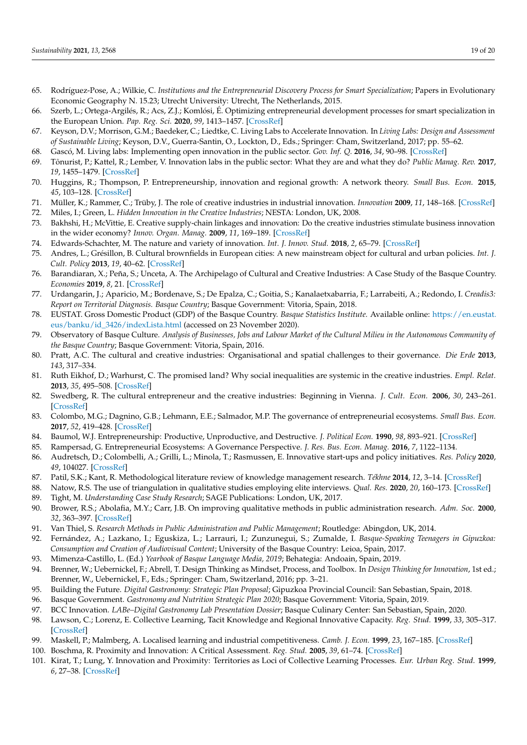- <span id="page-18-0"></span>65. Rodríguez-Pose, A.; Wilkie, C. *Institutions and the Entrepreneurial Discovery Process for Smart Specialization*; Papers in Evolutionary Economic Geography N. 15.23; Utrecht University: Utrecht, The Netherlands, 2015.
- <span id="page-18-1"></span>66. Szerb, L.; Ortega-Argilés, R.; Acs, Z.J.; Komlósi, É. Optimizing entrepreneurial development processes for smart specialization in the European Union. *Pap. Reg. Sci.* **2020**, *99*, 1413–1457. [\[CrossRef\]](http://doi.org/10.1111/pirs.12536)
- <span id="page-18-2"></span>67. Keyson, D.V.; Morrison, G.M.; Baedeker, C.; Liedtke, C. Living Labs to Accelerate Innovation. In *Living Labs: Design and Assessment of Sustainable Living*; Keyson, D.V., Guerra-Santin, O., Lockton, D., Eds.; Springer: Cham, Switzerland, 2017; pp. 55–62.
- <span id="page-18-3"></span>68. Gascó, M. Living labs: Implementing open innovation in the public sector. *Gov. Inf. Q.* **2016**, *34*, 90–98. [\[CrossRef\]](http://doi.org/10.1016/j.giq.2016.09.003)
- <span id="page-18-4"></span>69. Tõnurist, P.; Kattel, R.; Lember, V. Innovation labs in the public sector: What they are and what they do? *Public Manag. Rev.* **2017**, *19*, 1455–1479. [\[CrossRef\]](http://doi.org/10.1080/14719037.2017.1287939)
- <span id="page-18-5"></span>70. Huggins, R.; Thompson, P. Entrepreneurship, innovation and regional growth: A network theory. *Small Bus. Econ.* **2015**, *45*, 103–128. [\[CrossRef\]](http://doi.org/10.1007/s11187-015-9643-3)
- <span id="page-18-6"></span>71. Müller, K.; Rammer, C.; Trüby, J. The role of creative industries in industrial innovation. *Innovation* **2009**, *11*, 148–168. [\[CrossRef\]](http://doi.org/10.5172/impp.11.2.148)
- <span id="page-18-8"></span><span id="page-18-7"></span>72. Miles, I.; Green, L. *Hidden Innovation in the Creative Industries*; NESTA: London, UK, 2008. 73. Bakhshi, H.; McVittie, E. Creative supply-chain linkages and innovation: Do the creative industries stimulate business innovation in the wider economy? *Innov. Organ. Manag.* **2009**, *11*, 169–189. [\[CrossRef\]](http://doi.org/10.5172/impp.11.2.169)
- <span id="page-18-9"></span>74. Edwards-Schachter, M. The nature and variety of innovation. *Int. J. Innov. Stud.* **2018**, *2*, 65–79. [\[CrossRef\]](http://doi.org/10.1016/j.ijis.2018.08.004)
- <span id="page-18-10"></span>75. Andres, L.; Grésillon, B. Cultural brownfields in European cities: A new mainstream object for cultural and urban policies. *Int. J. Cult. Policy* **2013**, *19*, 40–62. [\[CrossRef\]](http://doi.org/10.1080/10286632.2011.625416)
- <span id="page-18-11"></span>76. Barandiaran, X.; Peña, S.; Unceta, A. The Archipelago of Cultural and Creative Industries: A Case Study of the Basque Country. *Economies* **2019**, *8*, 21. [\[CrossRef\]](http://doi.org/10.3390/economies8010021)
- <span id="page-18-12"></span>77. Urdangarin, J.; Aparicio, M.; Bordenave, S.; De Epalza, C.; Goitia, S.; Kanalaetxabarria, F.; Larrabeiti, A.; Redondo, I. *Creadis3: Report on Territorial Diagnosis. Basque Country*; Basque Government: Vitoria, Spain, 2018.
- <span id="page-18-13"></span>78. EUSTAT. Gross Domestic Product (GDP) of the Basque Country. *Basque Statistics Institute.* Available online: [https://en.eustat.](https://en.eustat.eus/banku/id_3426/indexLista.html) [eus/banku/id\\_3426/indexLista.html](https://en.eustat.eus/banku/id_3426/indexLista.html) (accessed on 23 November 2020).
- <span id="page-18-14"></span>79. Observatory of Basque Culture. *Analysis of Businesses, Jobs and Labour Market of the Cultural Milieu in the Autonomous Community of the Basque Country*; Basque Government: Vitoria, Spain, 2016.
- <span id="page-18-15"></span>80. Pratt, A.C. The cultural and creative industries: Organisational and spatial challenges to their governance. *Die Erde* **2013**, *143*, 317–334.
- <span id="page-18-16"></span>81. Ruth Eikhof, D.; Warhurst, C. The promised land? Why social inequalities are systemic in the creative industries. *Empl. Relat.* **2013**, *35*, 495–508. [\[CrossRef\]](http://doi.org/10.1108/ER-08-2012-0061)
- <span id="page-18-17"></span>82. Swedberg, R. The cultural entrepreneur and the creative industries: Beginning in Vienna. *J. Cult. Econ.* **2006**, *30*, 243–261. [\[CrossRef\]](http://doi.org/10.1007/s10824-006-9016-5)
- <span id="page-18-18"></span>83. Colombo, M.G.; Dagnino, G.B.; Lehmann, E.E.; Salmador, M.P. The governance of entrepreneurial ecosystems. *Small Bus. Econ.* **2017**, *52*, 419–428. [\[CrossRef\]](http://doi.org/10.1007/s11187-017-9952-9)
- <span id="page-18-19"></span>84. Baumol, W.J. Entrepreneurship: Productive, Unproductive, and Destructive. *J. Political Econ.* **1990**, *98*, 893–921. [\[CrossRef\]](http://doi.org/10.1086/261712)
- <span id="page-18-20"></span>85. Rampersad, G. Entrepreneurial Ecosystems: A Governance Perspective. *J. Res. Bus. Econ. Manag.* **2016**, *7*, 1122–1134.
- <span id="page-18-21"></span>86. Audretsch, D.; Colombelli, A.; Grilli, L.; Minola, T.; Rasmussen, E. Innovative start-ups and policy initiatives. *Res. Policy* **2020**, *49*, 104027. [\[CrossRef\]](http://doi.org/10.1016/j.respol.2020.104027)
- <span id="page-18-22"></span>87. Patil, S.K.; Kant, R. Methodological literature review of knowledge management research. *Tékhne* **2014**, *12*, 3–14. [\[CrossRef\]](http://doi.org/10.1016/j.tekhne.2014.07.001)
- <span id="page-18-24"></span><span id="page-18-23"></span>88. Natow, R.S. The use of triangulation in qualitative studies employing elite interviews. *Qual. Res.* **2020**, *20*, 160–173. [\[CrossRef\]](http://doi.org/10.1177/1468794119830077) 89. Tight, M. *Understanding Case Study Research*; SAGE Publications: London, UK, 2017.
- <span id="page-18-25"></span>90. Brower, R.S.; Abolafia, M.Y.; Carr, J.B. On improving qualitative methods in public administration research. *Adm. Soc.* **2000**, *32*, 363–397. [\[CrossRef\]](http://doi.org/10.1177/00953990022019470)
- <span id="page-18-26"></span>91. Van Thiel, S. *Research Methods in Public Administration and Public Management*; Routledge: Abingdon, UK, 2014.
- <span id="page-18-27"></span>92. Fernández, A.; Lazkano, I.; Eguskiza, L.; Larrauri, I.; Zunzunegui, S.; Zumalde, I. *Basque-Speaking Teenagers in Gipuzkoa: Consumption and Creation of Audiovisual Content*; University of the Basque Country: Leioa, Spain, 2017.
- <span id="page-18-28"></span>93. Mimenza-Castillo, L. (Ed.) *Yearbook of Basque Language Media, 2019*; Behategia: Andoain, Spain, 2019.
- <span id="page-18-29"></span>94. Brenner, W.; Uebernickel, F.; Abrell, T. Design Thinking as Mindset, Process, and Toolbox. In *Design Thinking for Innovation*, 1st ed.; Brenner, W., Uebernickel, F., Eds.; Springer: Cham, Switzerland, 2016; pp. 3–21.
- <span id="page-18-30"></span>95. Building the Future. *Digital Gastronomy: Strategic Plan Proposal*; Gipuzkoa Provincial Council: San Sebastian, Spain, 2018.
- <span id="page-18-31"></span>96. Basque Government. *Gastronomy and Nutrition Strategic Plan 2020*; Basque Government: Vitoria, Spain, 2019.
- <span id="page-18-32"></span>97. BCC Innovation. *LABe–Digital Gastronomy Lab Presentation Dossier*; Basque Culinary Center: San Sebastian, Spain, 2020.
- <span id="page-18-33"></span>98. Lawson, C.; Lorenz, E. Collective Learning, Tacit Knowledge and Regional Innovative Capacity. *Reg. Stud.* **1999**, *33*, 305–317. [\[CrossRef\]](http://doi.org/10.1080/713693555)
- <span id="page-18-34"></span>99. Maskell, P.; Malmberg, A. Localised learning and industrial competitiveness. *Camb. J. Econ.* **1999**, *23*, 167–185. [\[CrossRef\]](http://doi.org/10.1093/cje/23.2.167)
- <span id="page-18-35"></span>100. Boschma, R. Proximity and Innovation: A Critical Assessment. *Reg. Stud.* **2005**, *39*, 61–74. [\[CrossRef\]](http://doi.org/10.1080/0034340052000320887)
- <span id="page-18-36"></span>101. Kirat, T.; Lung, Y. Innovation and Proximity: Territories as Loci of Collective Learning Processes. *Eur. Urban Reg. Stud.* **1999**, *6*, 27–38. [\[CrossRef\]](http://doi.org/10.1177/096977649900600103)